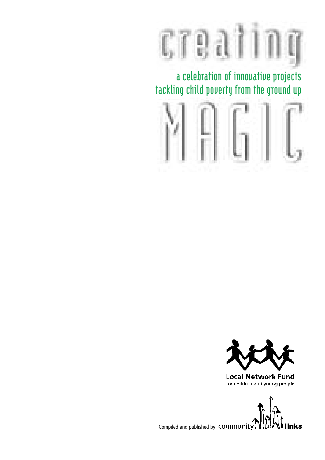

**a celebration of innovative projects tackling child poverty from the ground up**





**Local Network Fund** for children and young people

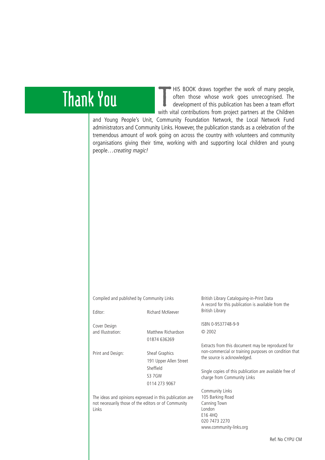# **Thank You**

T HIS BOOK draws together the work of many people, often those whose work goes unrecognised. The development of this publication has been a team effort with vital contributions from project partners at the Children

and Young People's Unit, Community Foundation Network, the Local Network Fund administrators and Community Links. However, the publication stands as a celebration of the tremendous amount of work going on across the country with volunteers and community organisations giving their time, working with and supporting local children and young people…creating magic!

Compiled and published by Community Links

Editor: Richard McKeever

Cover Design<br>and Illustration:

Print and Design: Sheaf Graphics

191 Upper Allen Street Sheffield S3 7GW 0114 273 9067

Matthew Richardson 01874 636269

The ideas and opinions expressed in this publication are not necessarily those of the editors or of Community Links

British Library Cataloguing-in-Print Data A record for this publication is available from the British Library

ISBN 0-9537748-9-9 © 2002

Extracts from this document may be reproduced for non-commercial or training purposes on condition that the source is acknowledged.

Single copies of this publication are available free of charge from Community Links

Community Links 105 Barking Road Canning Town London E16 4HQ 020 7473 2270 www.community-links.org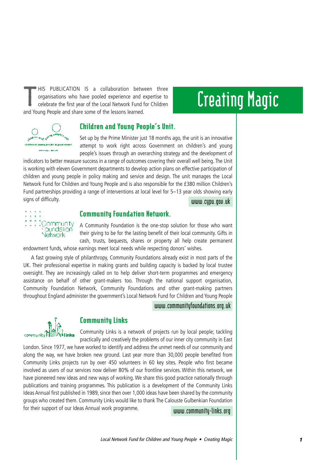T HIS PUBLICATION IS a collaboration between three organisations who have pooled experience and expertise to celebrate the first year of the Local Network Fund for Children and Young People and share some of the lessons learned.

# **Creating Magic**



#### Children and Young People's Unit.

Set up by the Prime Minister just 18 months ago, the unit is an innovative attempt to work right across Government on children's and young people's issues through an overarching strategy and the development of

indicators to better measure success in a range of outcomes covering their overall well being.The Unit is working with eleven Government departments to develop action plans on effective participation of children and young people in policy making and service and design. The unit manages the Local Network Fund for Children and Young People and is also responsible for the £380 million Children's Fund partnerships providing a range of interventions at local level for 5–13 year olds showing early signs of difficulty. **www.cypu.gov.uk**



#### Community Foundation Network.

A Community Foundation is the one-stop solution for those who want their giving to be for the lasting benefit of their local community. Gifts in cash, trusts, bequests, shares or property all help create permanent endowment funds, whose earnings meet local needs while respecting donors' wishes.

A fast growing style of philanthropy, Community Foundations already exist in most parts of the UK. Their professional expertise in making grants and building capacity is backed by local trustee oversight. They are increasingly called on to help deliver short-term programmes and emergency assistance on behalf of other grant-makers too. Through the national support organisation, Community Foundation Network, Community Foundations and other grant-making partners throughout England administer the government's Local Network Fund for Children and Young People

**www.communityfoundations.org.uk**



#### Community Links

Community Links is a network of projects run by local people; tackling practically and creatively the problems of our inner city community in East London. Since 1977, we have worked to identify and address the unmet needs of our community and

along the way, we have broken new ground. Last year more than 30,000 people benefited from Community Links projects run by over 450 volunteers in 60 key sites. People who first became involved as users of our services now deliver 80% of our frontline services. Within this network, we have pioneered new ideas and new ways of working. We share this good practice nationally through publications and training programmes. This publication is a development of the Community Links Ideas Annual first published in 1989, since then over 1,000 ideas have been shared by the community groups who created them. Community Links would like to thank The Calouste Gulbenkian Foundation for their support of our Ideas Annual work programme.

**www.community-links.org**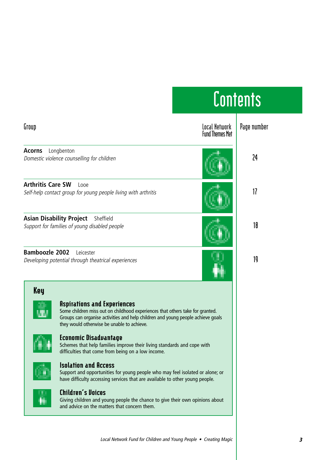| Contents                                                                                                                                                                                                                                                                                                                                                                                                                                                                                                                                                                                                                                                                                                                                                                                 |                                         |             |
|------------------------------------------------------------------------------------------------------------------------------------------------------------------------------------------------------------------------------------------------------------------------------------------------------------------------------------------------------------------------------------------------------------------------------------------------------------------------------------------------------------------------------------------------------------------------------------------------------------------------------------------------------------------------------------------------------------------------------------------------------------------------------------------|-----------------------------------------|-------------|
| Group                                                                                                                                                                                                                                                                                                                                                                                                                                                                                                                                                                                                                                                                                                                                                                                    | Local Network<br><b>Fund Themes Met</b> | Page number |
| Acorns<br>Longbenton<br>Domestic violence counselling for children                                                                                                                                                                                                                                                                                                                                                                                                                                                                                                                                                                                                                                                                                                                       |                                         | 24          |
| <b>Arthritis Care SW</b><br>Looe<br>Self-help contact group for young people living with arthritis                                                                                                                                                                                                                                                                                                                                                                                                                                                                                                                                                                                                                                                                                       |                                         | 17          |
| <b>Asian Disability Project</b><br>Sheffield<br>Support for families of young disabled people                                                                                                                                                                                                                                                                                                                                                                                                                                                                                                                                                                                                                                                                                            |                                         | 18          |
| <b>Bamboozle 2002</b><br>Leicester<br>Developing potential through theatrical experiences                                                                                                                                                                                                                                                                                                                                                                                                                                                                                                                                                                                                                                                                                                |                                         | 19          |
| <b>Key</b><br><b>Aspirations and Experiences</b><br>Some children miss out on childhood experiences that others take for granted.<br>Groups can organise activities and help children and young people achieve goals<br>they would otherwise be unable to achieve.<br>Economic Disadvantage<br>Schemes that help families improve their living standards and cope with<br>difficulties that come from being on a low income.<br><b>Isolation and Access</b><br>Support and opportunities for young people who may feel isolated or alone; or<br>have difficulty accessing services that are available to other young people.<br><b>Children's Voices</b><br>Giving children and young people the chance to give their own opinions about<br>and advice on the matters that concern them. |                                         |             |

#### Local Network Fund for Children and Young People • Creating Magic **3**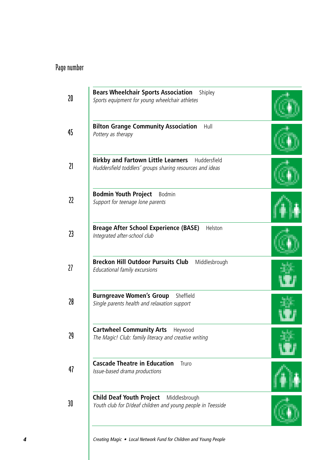| <b>Bears Wheelchair Sports Association</b><br>Shipley<br>Sports equipment for young wheelchair athletes             |  |
|---------------------------------------------------------------------------------------------------------------------|--|
| <b>Bilton Grange Community Association</b><br>Hull<br>Pottery as therapy                                            |  |
| <b>Birkby and Fartown Little Learners</b> Huddersfield<br>Huddersfield toddlers' groups sharing resources and ideas |  |
| <b>Bodmin Youth Project</b><br><b>Bodmin</b><br>Support for teenage lone parents                                    |  |
| <b>Breage After School Experience (BASE)</b><br>Helston<br>Integrated after-school club                             |  |
| <b>Breckon Hill Outdoor Pursuits Club</b><br>Middlesbrough<br>Educational family excursions                         |  |
| <b>Burngreave Women's Group</b> Sheffield<br>Single parents health and relaxation support                           |  |
| <b>Cartwheel Community Arts</b><br>Heywood<br>The Magic! Club: family literacy and creative writing                 |  |
| <b>Cascade Theatre in Education</b><br>Truro<br>Issue-based drama productions                                       |  |
| <b>Child Deaf Youth Project</b><br>Middlesbrough<br>Youth club for D/deaf children and young people in Teesside     |  |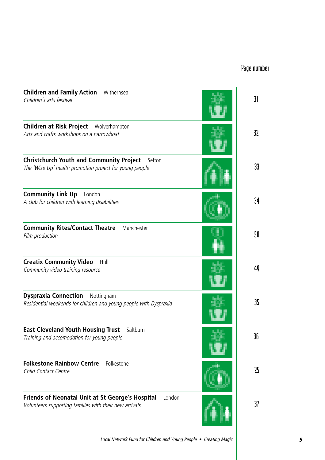| <b>Children and Family Action</b> Withernsea<br>Children's arts festival                                             | 31              |
|----------------------------------------------------------------------------------------------------------------------|-----------------|
| <b>Children at Risk Project</b> Wolverhampton<br>Arts and crafts workshops on a narrowboat                           | 32 <sub>2</sub> |
| <b>Christchurch Youth and Community Project</b><br>Sefton<br>The 'Wise Up' health promotion project for young people | 33              |
| <b>Community Link Up</b><br>London<br>A club for children with learning disabilities                                 | 34              |
| <b>Community Rites/Contact Theatre</b> Manchester<br>Film production                                                 | 50              |
| <b>Creatix Community Video</b><br>Hull<br>Community video training resource                                          | 49              |
| <b>Dyspraxia Connection</b> Nottingham<br>Residential weekends for children and young people with Dyspraxia          | 35              |
| <b>East Cleveland Youth Housing Trust</b><br>Saltburn<br>Training and accomodation for young people                  | 36              |
| <b>Folkestone Rainbow Centre</b><br>Folkestone<br>Child Contact Centre                                               | 25              |
| Friends of Neonatal Unit at St George's Hospital<br>London<br>Volunteers supporting families with their new arrivals | 37              |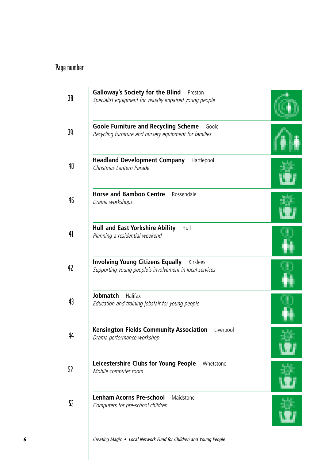| <b>Galloway's Society for the Blind</b><br>Preston<br>Specialist equipment for visually impaired young people  |  |
|----------------------------------------------------------------------------------------------------------------|--|
| <b>Goole Furniture and Recycling Scheme</b><br>Goole<br>Recycling furniture and nursery equipment for families |  |
| <b>Headland Development Company</b><br>Hartlepool<br>Christmas Lantern Parade                                  |  |
| <b>Horse and Bamboo Centre</b><br>Rossendale<br>Drama workshops                                                |  |
| <b>Hull and East Yorkshire Ability</b><br>Hull<br>Planning a residential weekend                               |  |
| <b>Involving Young Citizens Equally</b> Kirklees<br>Supporting young people's involvement in local services    |  |
| <b>Jobmatch</b><br>Halifax<br>Education and training jobsfair for young people                                 |  |
| <b>Kensington Fields Community Association</b><br>Liverpool<br>Drama performance workshop                      |  |
| Leicestershire Clubs for Young People Whetstone<br>Mobile computer room                                        |  |
| <b>Lenham Acorns Pre-school</b><br>Maidstone<br>Computers for pre-school children                              |  |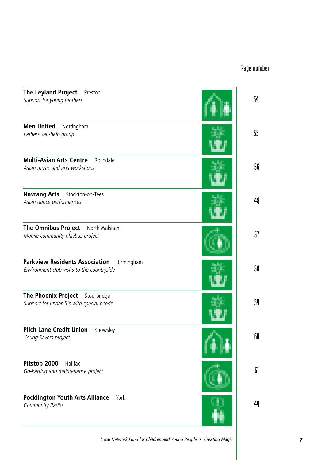| <b>The Leyland Project</b><br>Preston<br>Support for young mothers                                | 54     |
|---------------------------------------------------------------------------------------------------|--------|
| <b>Men United</b><br>Nottingham<br>Fathers self-help group                                        | $55\,$ |
| <b>Multi-Asian Arts Centre</b><br>Rochdale<br>Asian music and arts workshops                      | 56     |
| <b>Navrang Arts</b><br>Stockton-on-Tees<br>Asian dance performances                               | 48     |
| The Omnibus Project<br>North Walsham<br>Mobile community playbus project                          | 57     |
| <b>Parkview Residents Association</b><br>Birmingham<br>Environment club visits to the countryside | 58     |
| <b>The Phoenix Project</b><br>Stourbridge<br>Support for under-5's with special needs             | 59     |
| <b>Pilch Lane Credit Union</b><br>Knowsley<br>Young Savers project                                | 60     |
| Pitstop 2000<br>Halifax<br>Go-karting and maintenance project                                     | 61     |
| <b>Pocklington Youth Arts Alliance</b><br>York<br>Community Radio                                 | 49     |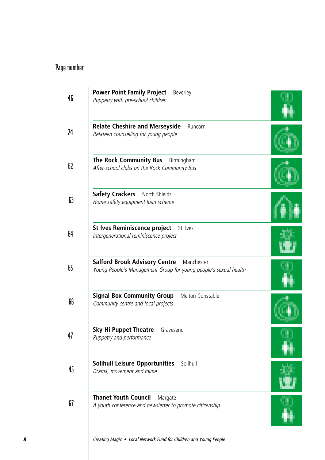| <b>Power Point Family Project</b><br>Beverley<br>Puppetry with pre-school children                                  |  |
|---------------------------------------------------------------------------------------------------------------------|--|
| <b>Relate Cheshire and Merseyside</b><br>Runcorn<br>Relateen counselling for young people                           |  |
| The Rock Community Bus<br>Birmingham<br>After-school clubs on the Rock Community Bus                                |  |
| <b>Safety Crackers</b><br>North Shields<br>Home safety equipment loan scheme                                        |  |
| St Ives Reminiscence project St. Ives<br>Intergenerational reminiscence project                                     |  |
| <b>Salford Brook Advisory Centre</b> Manchester<br>Young People's Management Group for young people's sexual health |  |
| <b>Signal Box Community Group</b><br>Melton Constable<br>Community centre and local projects                        |  |
| Sky-Hi Puppet Theatre<br>Gravesend<br>Puppetry and performance                                                      |  |
| <b>Solihull Leisure Opportunities</b><br>Solihull<br>Drama, movement and mime                                       |  |
| <b>Thanet Youth Council</b><br>Margate<br>A youth conference and newsletter to promote citizenship                  |  |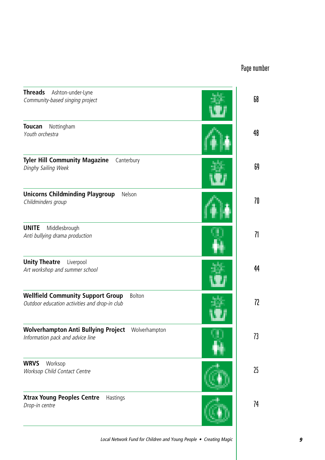| <b>Threads</b><br>Ashton-under-Lyne<br>Community-based singing project                              | 68 |
|-----------------------------------------------------------------------------------------------------|----|
| <b>Toucan</b><br>Nottingham<br>Youth orchestra                                                      | 48 |
| <b>Tyler Hill Community Magazine</b><br>Canterbury<br>Dinghy Sailing Week                           | 69 |
| <b>Unicorns Childminding Playgroup</b><br>Nelson<br>Childminders group                              | 70 |
| <b>UNITE</b><br>Middlesbrough<br>Anti bullying drama production                                     | 71 |
| <b>Unity Theatre</b><br>Liverpool<br>Art workshop and summer school                                 | 44 |
| <b>Wellfield Community Support Group</b><br>Bolton<br>Outdoor education activities and drop-in club | 72 |
| <b>Wolverhampton Anti Bullying Project</b> Wolverhampton<br>Information pack and advice line        | 73 |
| <b>WRVS</b><br>Worksop<br>Worksop Child Contact Centre                                              | 25 |
| <b>Xtrax Young Peoples Centre</b><br>Hastings<br>Drop-in centre                                     | 74 |
|                                                                                                     |    |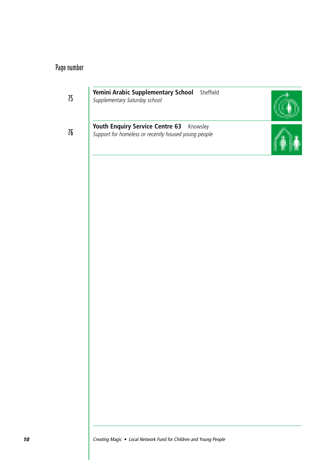**75**

**Yemini Arabic Supplementary School** Sheffield Supplementary Saturday school

**76**

**Youth Enquiry Service Centre 63** Knowsley Support for homeless or recently housed young people

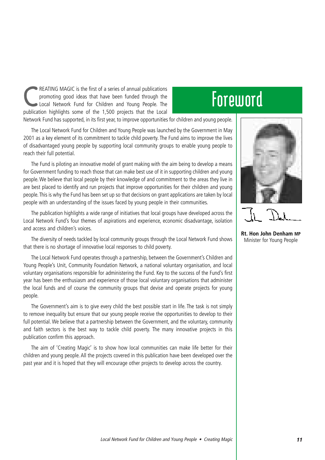REATING MAGIC is the first of a series of annual publications<br>promoting good ideas that have been funded through the<br>Local Network Fund for Children and Young People. The promoting good ideas that have been funded through the publication highlights some of the 1,500 projects that the Local

# **Foreword**

Network Fund has supported, in its first year, to improve opportunities for children and young people.

The Local Network Fund for Children and Young People was launched by the Government in May 2001 as a key element of its commitment to tackle child poverty. The Fund aims to improve the lives of disadvantaged young people by supporting local community groups to enable young people to reach their full potential.

The Fund is piloting an innovative model of grant making with the aim being to develop a means for Government funding to reach those that can make best use of it in supporting children and young people. We believe that local people by their knowledge of and commitment to the areas they live in are best placed to identify and run projects that improve opportunities for their children and young people. This is why the Fund has been set up so that decisions on grant applications are taken by local people with an understanding of the issues faced by young people in their communities.

The publication highlights a wide range of initiatives that local groups have developed across the Local Network Fund's four themes of aspirations and experience, economic disadvantage, isolation and access and children's voices.

The diversity of needs tackled by local community groups through the Local Network Fund shows that there is no shortage of innovative local responses to child poverty.

The Local Network Fund operates through a partnership, between the Government's Children and Young People's Unit, Community Foundation Network, a national voluntary organisation, and local voluntary organisations responsible for administering the Fund. Key to the success of the Fund's first year has been the enthusiasm and experience of those local voluntary organisations that administer the local funds and of course the community groups that devise and operate projects for young people.

The Government's aim is to give every child the best possible start in life. The task is not simply to remove inequality but ensure that our young people receive the opportunities to develop to their full potential. We believe that a partnership between the Government, and the voluntary, community and faith sectors is the best way to tackle child poverty. The many innovative projects in this publication confirm this approach.

The aim of 'Creating Magic' is to show how local communities can make life better for their children and young people. All the projects covered in this publication have been developed over the past year and it is hoped that they will encourage other projects to develop across the country.



**Rt. Hon John Denham MP** Minister for Young People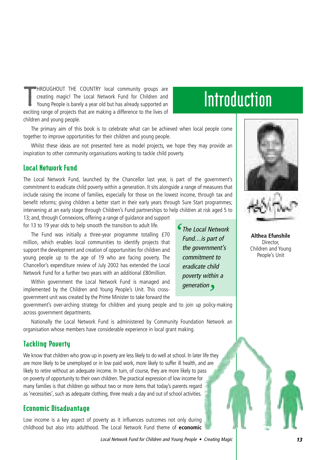T HROUGHOUT THE COUNTRY local community groups are creating magic! The Local Network Fund for Children and Young People is barely a year old but has already supported an exciting range of projects that are making a difference to the lives of children and young people.

# **Introduction**

The primary aim of this book is to celebrate what can be achieved when local people come together to improve opportunities for their children and young people.

Whilst these ideas are not presented here as model projects, we hope they may provide an inspiration to other community organisations working to tackle child poverty.

#### Local Network Fund

The Local Network Fund, launched by the Chancellor last year, is part of the government's commitment to eradicate child poverty within a generation. It sits alongside a range of measures that include raising the income of families, especially for those on the lowest income, through tax and benefit reforms; giving children a better start in their early years through Sure Start programmes; intervening at an early stage through Children's Fund partnerships to help children at risk aged 5 to

13; and, through Connexions, offering a range of guidance and support for 13 to 19 year olds to help smooth the transition to adult life.

The Fund was initially a three-year programme totalling £70 million, which enables local communities to identify projects that support the development and creation of opportunities for children and young people up to the age of 19 who are facing poverty. The Chancellor's expenditure review of July 2002 has extended the Local Network Fund for a further two years with an additional £80million.

Within government the Local Network Fund is managed and implemented by the Children and Young People's Unit. This crossgovernment unit was created by the Prime Minister to take forward the

government's over-arching strategy for children and young people and to join up policy-making across government departments.

Nationally the Local Network Fund is administered by Community Foundation Network an organisation whose members have considerable experience in local grant making.

#### Tackling Poverty

We know that children who grow up in poverty are less likely to do well at school. In later life they are more likely to be unemployed or in low paid work, more likely to suffer ill health, and are likely to retire without an adequate income. In turn, of course, they are more likely to pass on poverty of opportunity to their own children.The practical expression of low income for many families is that children go without two or more items that today's parents regard as 'necessities', such as adequate clothing, three meals a day and out of school activities.

#### Economic Disadvantage

Low income is a key aspect of poverty as it influences outcomes not only during childhood but also into adulthood. The Local Network Fund theme of **economic**

The Local Network *'* Fund…is part of the government's commitment to eradicate child poverty within a generation *'*



**Althea Efunshile**

Director, Children and Young People's Unit

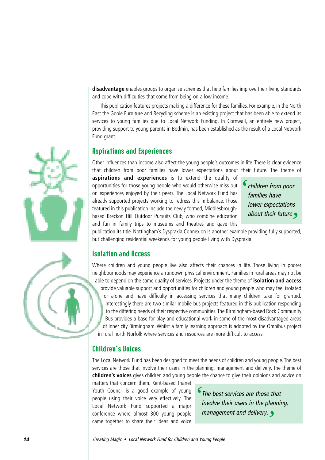**disadvantage** enables groups to organise schemes that help families improve their living standards and cope with difficulties that come from being on a low income

This publication features projects making a difference for these families. For example, in the North East the Goole Furniture and Recycling scheme is an existing project that has been able to extend its services to young families due to Local Network Funding. In Cornwall, an entirely new project, providing support to young parents in Bodmin, has been established as the result of a Local Network Fund grant.

#### Aspirations and Experiences

Other influences than income also affect the young people's outcomes in life. There is clear evidence that children from poor families have lower expectations about their future. The theme of

**aspirations and experiences** is to extend the quality of opportunities for those young people who would otherwise miss out on experiences enjoyed by their peers. The Local Network Fund has already supported projects working to redress this imbalance. Those featured in this publication include the newly formed, Middlesbroughbased Breckon Hill Outdoor Pursuits Club, who combine education and fun in family trips to museums and theatres and gave this

children from poor families have lower expectations about their future *' '*

publication its title. Nottingham's Dyspraxia Connexion is another example providing fully supported, but challenging residential weekends for young people living with Dyspraxia.

#### Isolation and Access

Where children and young people live also affects their chances in life. Those living in poorer neighbourhoods may experience a rundown physical environment. Families in rural areas may not be able to depend on the same quality of services. Projects under the theme of **isolation and access** provide valuable support and opportunities for children and young people who may feel isolated or alone and have difficulty in accessing services that many children take for granted. Interestingly there are two similar mobile bus projects featured in this publication responding to the differing needs of their respective communities. The Birmingham-based Rock Community Bus provides a base for play and educational work in some of the most disadvantaged areas of inner city Birmingham. Whilst a family learning approach is adopted by the Omnibus project in rural north Norfolk where services and resources are more difficult to access.

#### Children's Voices

The Local Network Fund has been designed to meet the needs of children and young people. The best services are those that involve their users in the planning, management and delivery. The theme of **children's voices** gives children and young people the chance to give their opinions and advice on matters that concern them. Kent-based Thanet

Youth Council is a good example of young people using their voice very effectively. The Local Network Fund supported a major conference where almost 300 young people came together to share their ideas and voice

The best services are those that involve their users in the planning, management and delivery. *''*



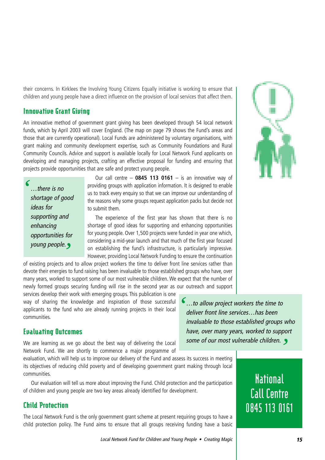their concerns. In Kirklees the Involving Young Citizens Equally initiative is working to ensure that children and young people have a direct influence on the provision of local services that affect them.

#### Innovative Grant Giving

An innovative method of government grant giving has been developed through 54 local network funds, which by April 2003 will cover England. (The map on page 79 shows the Fund's areas and those that are currently operational). Local Funds are administered by voluntary organisations, with grant making and community development expertise, such as Community Foundations and Rural Community Councils. Advice and support is available locally for Local Network Fund applicants on developing and managing projects, crafting an effective proposal for funding and ensuring that projects provide opportunities that are safe and protect young people.

…there is no shortage of good ideas for supporting and enhancing opportunities for young people. *'*

*'*

Our call centre – **0845 113 0161** – is an innovative way of providing groups with application information. It is designed to enable us to track every enquiry so that we can improve our understanding of the reasons why some groups request application packs but decide not to submit them.

The experience of the first year has shown that there is no shortage of good ideas for supporting and enhancing opportunities for young people. Over 1,500 projects were funded in year one which, considering a mid-year launch and that much of the first year focused on establishing the fund's infrastructure, is particularly impressive. However, providing Local Network Funding to ensure the continuation

*'*

of existing projects and to allow project workers the time to deliver front line services rather than devote their energies to fund raising has been invaluable to those established groups who have, over many years, worked to support some of our most vulnerable children. We expect that the number of newly formed groups securing funding will rise in the second year as our outreach and support

services develop their work with emerging groups. This publication is one way of sharing the knowledge and inspiration of those successful applicants to the fund who are already running projects in their local communities.

#### Evaluating Outcomes

We are learning as we go about the best way of delivering the Local Network Fund. We are shortly to commence a major programme of

evaluation, which will help us to improve our delivery of the Fund and assess its success in meeting its objectives of reducing child poverty and of developing government grant making through local communities.

Our evaluation will tell us more about improving the Fund. Child protection and the participation of children and young people are two key areas already identified for development.

#### Child Protection

The Local Network Fund is the only government grant scheme at present requiring groups to have a child protection policy. The Fund aims to ensure that all groups receiving funding have a basic

…to allow project workers the time to deliver front line services…has been invaluable to those established groups who have, over many years, worked to support some of our most vulnerable children. *'*



**National Call Centre 0845 113 0161**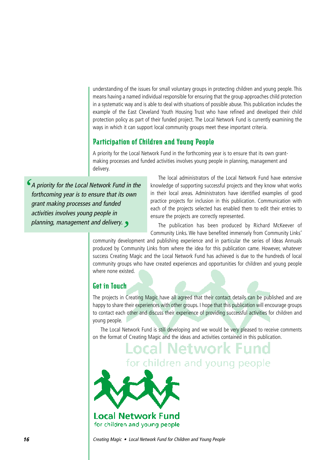understanding of the issues for small voluntary groups in protecting children and young people. This means having a named individual responsible for ensuring that the group approaches child protection in a systematic way and is able to deal with situations of possible abuse. This publication includes the example of the East Cleveland Youth Housing Trust who have refined and developed their child protection policy as part of their funded project. The Local Network Fund is currently examining the ways in which it can support local community groups meet these important criteria.

#### Participation of Children and Young People

A priority for the Local Network Fund in the forthcoming year is to ensure that its own grantmaking processes and funded activities involves young people in planning, management and delivery.

A priority for the Local Network Fund in the forthcoming year is to ensure that its own grant making processes and funded activities involves young people in planning, management and delivery. *''*

The local administrators of the Local Network Fund have extensive knowledge of supporting successful projects and they know what works in their local areas. Administrators have identified examples of good practice projects for inclusion in this publication. Communication with each of the projects selected has enabled them to edit their entries to ensure the projects are correctly represented.

The publication has been produced by Richard McKeever of Community Links. We have benefited immensely from Community Links'

community development and publishing experience and in particular the series of Ideas Annuals produced by Community Links from where the idea for this publication came. However, whatever success Creating Magic and the Local Network Fund has achieved is due to the hundreds of local community groups who have created experiences and opportunities for children and young people where none existed.

#### Get in Touch

The projects in Creating Magic have all agreed that their contact details can be published and are happy to share their experiences with other groups. I hope that this publication will encourage groups to contact each other and discuss their experience of providing successful activities for children and young people.

The Local Network Fund is still developing and we would be very pleased to receive comments on the format of Creating Magic and the ideas and activities contained in this publication.

ocal Network Fund. for children and young people Local Network Fund for children and young people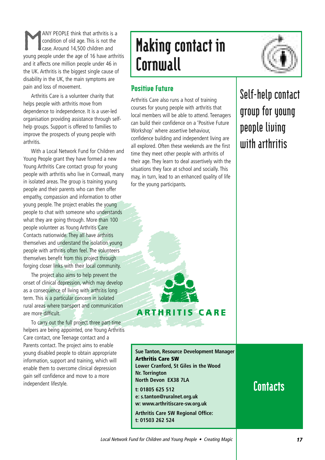ANY PEOPLE think that arthritis is a<br>condition of old age. This is not the<br>case. Around 14,500 children and condition of old age. This is not the case. Around 14,500 children and young people under the age of 16 have arthritis and it affects one million people under 46 in the UK. Arthritis is the biggest single cause of disability in the UK, the main symptoms are pain and loss of movement.

Arthritis Care is a volunteer charity that helps people with arthritis move from dependence to independence. It is a user-led organisation providing assistance through selfhelp groups. Support is offered to families to improve the prospects of young people with arthritis.

With a Local Network Fund for Children and Young People grant they have formed a new Young Arthritis Care contact group for young people with arthritis who live in Cornwall, many in isolated areas. The group is training young people and their parents who can then offer empathy, compassion and information to other young people. The project enables the young people to chat with someone who understands what they are going through. More than 100 people volunteer as Young Arthritis Care Contacts nationwide. They all have arthritis themselves and understand the isolation young people with arthritis often feel. The volunteers themselves benefit from this project through forging closer links with their local community.

The project also aims to help prevent the onset of clinical depression, which may develop as a consequence of living with arthritis long term. This is a particular concern in isolated rural areas where transport and communication are more difficult.

To carry out the full project three part-time helpers are being appointed, one Young Arthritis Care contact, one Teenage contact and a Parents contact. The project aims to enable young disabled people to obtain appropriate information, support and training, which will enable them to overcome clinical depression gain self confidence and move to a more independent lifestyle.

# Making contact in **Cornwall**



#### Positive Future

Arthritis Care also runs a host of training courses for young people with arthritis that local members will be able to attend. Teenagers can build their confidence on a 'Positive Future Workshop' where assertive behaviour, confidence building and independent living are all explored. Often these weekends are the first time they meet other people with arthritis of their age. They learn to deal assertively with the situations they face at school and socially. This may, in turn, lead to an enhanced quality of life for the young participants.

**Self-help contact group for young people living with arthritis**

**Sue Tanton, Resource Development Manager Arthritis Care SW Lower Cranford, St Giles in the Wood Nr. Torrington North Devon EX38 7LA t: 01805 625 512 e: s.tanton@ruralnet.org.uk w: www.arthritiscare-sw.org.uk**

**ARTHRITIS CARE** 

**Arthritis Care SW Regional Office: t: 01503 262 524**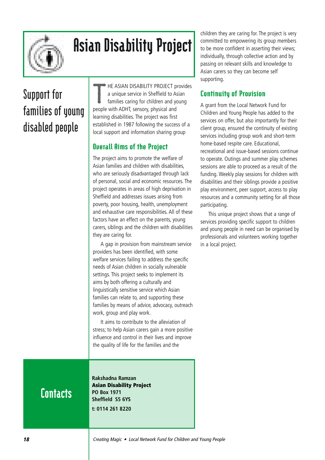

# Asian Disability Project

# **Support for families of young disabled people**

T HE ASIAN DISABILITY PROJECT provides a unique service in Sheffield to Asian families caring for children and young people with ADHT, sensory, physical and learning disabilities. The project was first established in 1987 following the success of a local support and information sharing group

#### Overall Aims of the Project

The project aims to promote the welfare of Asian families and children with disabilities, who are seriously disadvantaged through lack of personal, social and economic resources. The project operates in areas of high deprivation in Sheffield and addresses issues arising from poverty, poor housing, health, unemployment and exhaustive care responsibilities. All of these factors have an effect on the parents, young carers, siblings and the children with disabilities they are caring for.

A gap in provision from mainstream service providers has been identified, with some welfare services failing to address the specific needs of Asian children in socially vulnerable settings. This project seeks to implement its aims by both offering a culturally and linguistically sensitive service which Asian families can relate to, and supporting these families by means of advice, advocacy, outreach work, group and play work.

It aims to contribute to the alleviation of stress; to help Asian carers gain a more positive influence and control in their lives and improve the quality of life for the families and the

**Rakshadna Ramzan Asian Disability Project PO Box 1971 Sheffield S5 6YS t: 0114 261 8220**

children they are caring for. The project is very committed to empowering its group members to be more confident in asserting their views; individually, through collective action and by passing on relevant skills and knowledge to Asian carers so they can become self supporting.

#### Continuity of Provision

A grant from the Local Network Fund for Children and Young People has added to the services on offer, but also importantly for their client group, ensured the continuity of existing services including group work and short-term home-based respite care. Educational,

recreational and issue-based sessions continue to operate. Outings and summer play schemes sessions are able to proceed as a result of the funding. Weekly play sessions for children with disabilities and their siblings provide a positive play environment, peer support, access to play resources and a community setting for all those participating.

This unique project shows that a range of services providing specific support to children and young people in need can be organised by professionals and volunteers working together in a local project.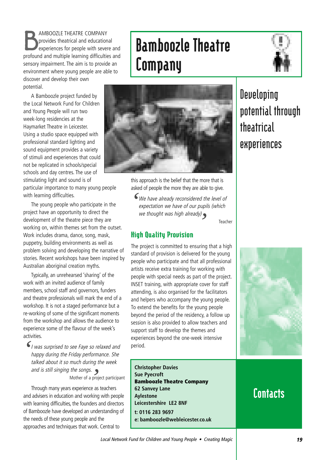B AMBOOZLE THEATRE COMPANY provides theatrical and educational experiences for people with severe and profound and multiple learning difficulties and sensory impairment. The aim is to provide an environment where young people are able to discover and develop their own potential.

A Bamboozle project funded by the Local Network Fund for Children and Young People will run two week-long residencies at the Haymarket Theatre in Leicester. Using a studio space equipped with professional standard lighting and sound equipment provides a variety of stimuli and experiences that could not be replicated in schools/special schools and day centres. The use of stimulating light and sound is of particular importance to many young people with learning difficulties.

The young people who participate in the project have an opportunity to direct the development of the theatre piece they are working on, within themes set from the outset. Work includes drama, dance, song, mask, puppetry, building environments as well as problem solving and developing the narrative of stories. Recent workshops have been inspired by Australian aboriginal creation myths.

Typically, an unrehearsed 'sharing' of the work with an invited audience of family members, school staff and governors, funders and theatre professionals will mark the end of a workshop. It is not a staged performance but a re-working of some of the significant moments from the workshop and allows the audience to experience some of the flavour of the week's activities.

I was surprised to see Faye so relaxed and happy during the Friday performance. She talked about it so much during the week and is still singing the songs.  $\bullet$ Mother of a project participant *'* **e** 

Through many years experience as teachers and advisers in education and working with people with learning difficulties, the founders and directors of Bamboozle have developed an understanding of the needs of these young people and the approaches and techniques that work. Central to

# Bamboozle Theatre Company





this approach is the belief that the more that is asked of people the more they are able to give.

We have already reconsidered the level of expectation we have of our pupils (which we thought was high already) *' '*

Teacher

#### High Quality Provision

The project is committed to ensuring that a high standard of provision is delivered for the young people who participate and that all professional artists receive extra training for working with people with special needs as part of the project. INSET training, with appropriate cover for staff attending, is also organised for the facilitators and helpers who accompany the young people. To extend the benefits for the young people beyond the period of the residency, a follow up session is also provided to allow teachers and support staff to develop the themes and experiences beyond the one-week intensive period.

**Christopher Davies Sue Pyecroft Bamboozle Theatre Company 62 Sanvey Lane Aylestone Leicestershire LE2 8NF t: 0116 283 9697 e: bamboozle@webleicester.co.uk**

# **potential through theatrical experiences**

**Developing**

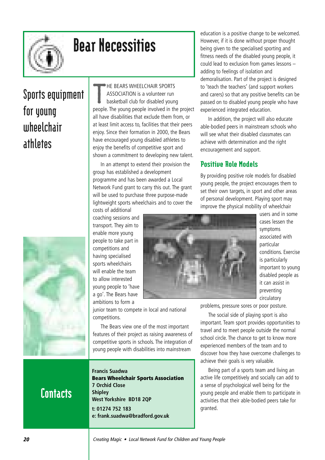

# Bear Necessities

# **Sports equipment for young wheelchair athletes**



T HE BEARS WHEELCHAIR SPORTS ASSOCIATION is a volunteer run basketball club for disabled young people. The young people involved in the project all have disabilities that exclude them from, or at least limit access to, facilities that their peers enjoy. Since their formation in 2000, the Bears have encouraged young disabled athletes to enjoy the benefits of competitive sport and shown a commitment to developing new talent.

In an attempt to extend their provision the group has established a development programme and has been awarded a Local Network Fund grant to carry this out. The grant will be used to purchase three purpose-made lightweight sports wheelchairs and to cover the costs of additional

coaching sessions and transport. They aim to enable more young people to take part in competitions and having specialised sports wheelchairs will enable the team to allow interested young people to 'have a go'. The Bears have ambitions to form a

junior team to compete in local and national competitions.

The Bears view one of the most important features of their project as raising awareness of competitive sports in schools. The integration of young people with disabilities into mainstream

# **Contacts**

**Francis Suadwa Bears Wheelchair Sports Association 7 Orchid Close Shipley West Yorkshire BD18 2QP t: 01274 752 183 e: frank.suadwa@bradford.gov.uk**

education is a positive change to be welcomed. However, if it is done without proper thought being given to the specialised sporting and fitness needs of the disabled young people, it could lead to exclusion from games lessons – adding to feelings of isolation and demoralisation. Part of the project is designed to 'teach the teachers' (and support workers and carers) so that any positive benefits can be passed on to disabled young people who have experienced integrated education.

In addition, the project will also educate able-bodied peers in mainstream schools who will see what their disabled classmates can achieve with determination and the right encouragement and support.

#### Positive Role Models

By providing positive role models for disabled young people, the project encourages them to set their own targets, in sport and other areas of personal development. Playing sport may improve the physical mobility of wheelchair



users and in some cases lessen the symptoms associated with particular conditions. Exercise is particularly important to young disabled people as it can assist in preventing circulatory

problems, pressure sores or poor posture.

The social side of playing sport is also important. Team sport provides opportunities to travel and to meet people outside the normal school circle. The chance to get to know more experienced members of the team and to discover how they have overcome challenges to achieve their goals is very valuable.

Being part of a sports team and living an active life competitively and socially can add to a sense of psychological well being for the young people and enable them to participate in activities that their able-bodied peers take for granted.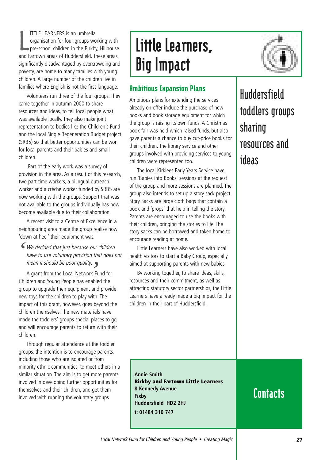L ITTLE LEARNERS is an umbrella organisation for four groups working with pre-school children in the Birkby, Hillhouse and Fartown areas of Huddersfield. These areas, significantly disadvantaged by overcrowding and poverty, are home to many families with young children. A large number of the children live in families where English is not the first language.

Volunteers run three of the four groups. They came together in autumn 2000 to share resources and ideas, to tell local people what was available locally. They also make joint representation to bodies like the Children's Fund and the local Single Regeneration Budget project (SRB5) so that better opportunities can be won for local parents and their babies and small children.

Part of the early work was a survey of provision in the area. As a result of this research, two part time workers, a bilingual outreach worker and a crèche worker funded by SRB5 are now working with the groups. Support that was not available to the groups individually has now become available due to their collaboration.

A recent visit to a Centre of Excellence in a neighbouring area made the group realise how 'down at heel' their equipment was.

We decided that just because our children *'* have to use voluntary provision that does not mean it should be poor quality.  $\bullet$ 

mean it should be poor quality.<br>A grant from the Local Network Fund for<br><sup>Journal Yourn Prade has real lad that</sup> Children and Young People has enabled the group to upgrade their equipment and provide new toys for the children to play with. The impact of this grant, however, goes beyond the children themselves. The new materials have made the toddlers' groups special places to go, and will encourage parents to return with their children.

Through regular attendance at the toddler groups, the intention is to encourage parents, including those who are isolated or from minority ethnic communities, to meet others in a similar situation. The aim is to get more parents involved in developing further opportunities for themselves and their children, and get them involved with running the voluntary groups.

# Little Learners, Big Impact



Ambitious plans for extending the services already on offer include the purchase of new books and book storage equipment for which the group is raising its own funds. A Christmas book fair was held which raised funds, but also gave parents a chance to buy cut-price books for their children. The library service and other groups involved with providing services to young children were represented too.

The local Kirklees Early Years Service have run 'Babies into Books' sessions at the request of the group and more sessions are planned. The group also intends to set up a story sack project. Story Sacks are large cloth bags that contain a book and 'props' that help in telling the story. Parents are encouraged to use the books with their children, bringing the stories to life. The story sacks can be borrowed and taken home to encourage reading at home.

Little Learners have also worked with local health visitors to start a Baby Group, especially aimed at supporting parents with new babies.

By working together, to share ideas, skills, resources and their commitment, as well as attracting statutory sector partnerships, the Little Learners have already made a big impact for the children in their part of Huddersfield.

**Huddersfield toddlers groups sharing resources and ideas**

**Annie Smith Birkby and Fartown Little Learners 8 Kennedy Avenue Fixby Huddersfield HD2 2HJ t: 01484 310 747**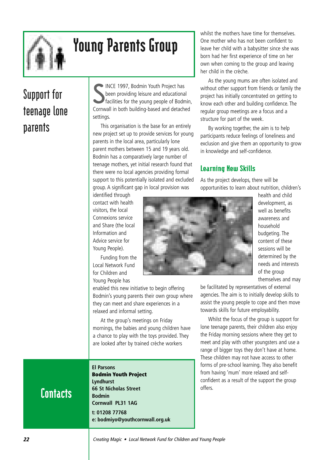# (≬∣≬

# Young Parents Group

# **Support for teenage lone parents**

S INCE 1997, Bodmin Youth Project has been providing leisure and educational facilities for the young people of Bodmin, Cornwall in both building-based and detached settings.

This organisation is the base for an entirely new project set up to provide services for young parents in the local area, particularly lone parent mothers between 15 and 19 years old. Bodmin has a comparatively large number of teenage mothers, yet initial research found that there were no local agencies providing formal support to this potentially isolated and excluded group. A significant gap in local provision was

whilst the mothers have time for themselves One mother who has not been confident to leave her child with a babysitter since she was born had her first experience of time on her own when coming to the group and leaving her child in the crèche.

As the young mums are often isolated and without other support from friends or family the project has initially concentrated on getting to know each other and building confidence. The regular group meetings are a focus and a structure for part of the week.

By working together, the aim is to help participants reduce feelings of loneliness and exclusion and give them an opportunity to grow in knowledge and self-confidence.

#### Learning New Skills

As the project develops, there will be opportunities to learn about nutrition, children's

identified through contact with health visitors, the local Connexions service and Share (the local Information and Advice service for Young People).

Funding from the Local Network Fund for Children and Young People has

enabled this new initiative to begin offering Bodmin's young parents their own group where they can meet and share experiences in a relaxed and informal setting.

At the group's meetings on Friday mornings, the babies and young children have a chance to play with the toys provided. They are looked after by trained crèche workers

#### **El Parsons**

**Bodmin Youth Project Lyndhurst 66 St Nicholas Street Bodmin Cornwall PL31 1AG t: 01208 77768 e: bodmiyo@youthcornwall.org.uk**



health and child development, as well as benefits awareness and household budgeting. The content of these sessions will be determined by the needs and interests of the group themselves and may

be facilitated by representatives of external agencies. The aim is to initially develop skills to assist the young people to cope and then move towards skills for future employability.

Whilst the focus of the group is support for lone teenage parents, their children also enjoy the Friday morning sessions where they get to meet and play with other youngsters and use a range of bigger toys they don't have at home. These children may not have access to other forms of pre-school learning. They also benefit from having 'mum' more relaxed and selfconfident as a result of the support the group offers.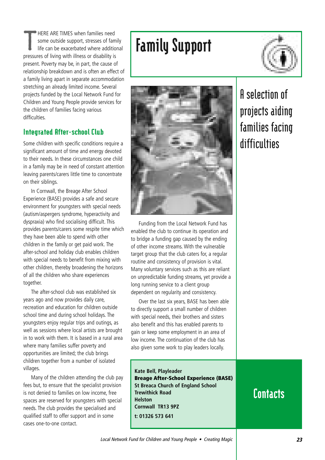T HERE ARE TIMES when families need some outside support, stresses of family life can be exacerbated where additional pressures of living with illness or disability is present. Poverty may be, in part, the cause of relationship breakdown and is often an effect of a family living apart in separate accommodation stretching an already limited income. Several projects funded by the Local Network Fund for Children and Young People provide services for the children of families facing various difficulties.

#### Integrated After-school Club

Some children with specific conditions require a significant amount of time and energy devoted to their needs. In these circumstances one child in a family may be in need of constant attention leaving parents/carers little time to concentrate on their siblings.

In Cornwall, the Breage After School Experience (BASE) provides a safe and secure environment for youngsters with special needs (autism/aspergers syndrome, hyperactivity and dyspraxia) who find socialising difficult. This provides parents/carers some respite time which they have been able to spend with other children in the family or get paid work. The after-school and holiday club enables children with special needs to benefit from mixing with other children, thereby broadening the horizons of all the children who share experiences together.

The after-school club was established six years ago and now provides daily care, recreation and education for children outside school time and during school holidays. The youngsters enjoy regular trips and outings, as well as sessions where local artists are brought in to work with them. It is based in a rural area where many families suffer poverty and opportunities are limited; the club brings children together from a number of isolated villages.

Many of the children attending the club pay fees but, to ensure that the specialist provision is not denied to families on low income, free spaces are reserved for youngsters with special needs. The club provides the specialised and qualified staff to offer support and in some cases one-to-one contact.

# Family Support





Funding from the Local Network Fund has enabled the club to continue its operation and to bridge a funding gap caused by the ending of other income streams. With the vulnerable target group that the club caters for, a regular routine and consistency of provision is vital. Many voluntary services such as this are reliant on unpredictable funding streams, yet provide a long running service to a client group dependent on regularity and consistency.

Over the last six years, BASE has been able to directly support a small number of children with special needs, their brothers and sisters also benefit and this has enabled parents to gain or keep some employment in an area of low income. The continuation of the club has also given some work to play leaders locally.

**Kate Bell, Playleader Breage After-School Experience (BASE) St Breaca Church of England School Trewithick Road Helston Cornwall TR13 9PZ t: 01326 573 641**

# **A selection of projects aiding families facing difficulties**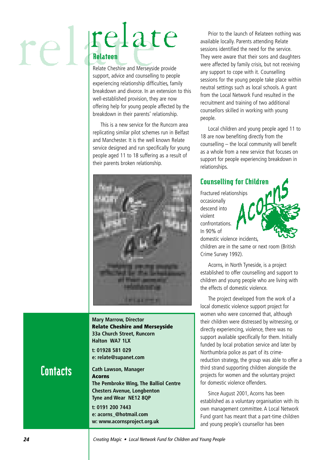# relate rel Relateen

Relate Cheshire and Merseyside provide support, advice and counselling to people experiencing relationship difficulties, family breakdown and divorce. In an extension to this well-established provision, they are now offering help for young people affected by the breakdown in their parents' relationship.

This is a new service for the Runcorn area replicating similar pilot schemes run in Belfast and Manchester. It is the well known Relate service designed and run specifically for young people aged 11 to 18 suffering as a result of their parents broken relationship.



**Mary Marrow, Director Relate Cheshire and Merseyside 33a Church Street, Runcorn Halton WA7 1LX**

**t: 01928 581 029 e: relate@supanet.com**

### **Contacts**

**Cath Lawson, Manager Acorns The Pembroke Wing, The Balliol Centre Chesters Avenue, Longbenton Tyne and Wear NE12 8QP**

**t: 0191 200 7443 e: acorns\_@hotmail.com w: www.acornsproject.org.uk**

Prior to the launch of Relateen nothing was available locally. Parents attending Relate sessions identified the need for the service. They were aware that their sons and daughters were affected by family crisis, but not receiving any support to cope with it. Counselling sessions for the young people take place within neutral settings such as local schools. A grant from the Local Network Fund resulted in the recruitment and training of two additional counsellors skilled in working with young people.

Local children and young people aged 11 to 18 are now benefiting directly from the counselling – the local community will benefit as a whole from a new service that focuses on support for people experiencing breakdown in relationships.

#### Counselling for Children

Fractured relationships occasionally descend into violent confrontations. In 90% of domestic violence incidents,

children are in the same or next room (British Crime Survey 1992).

Acorns, in North Tyneside, is a project established to offer counselling and support to children and young people who are living with the effects of domestic violence.

The project developed from the work of a local domestic violence support project for women who were concerned that, although their children were distressed by witnessing, or directly experiencing, violence, there was no support available specifically for them. Initially funded by local probation service and later by Northumbria police as part of its crimereduction strategy, the group was able to offer a third strand supporting children alongside the projects for women and the voluntary project for domestic violence offenders.

Since August 2001, Acorns has been established as a voluntary organisation with its own management committee. A Local Network Fund grant has meant that a part-time children and young people's counsellor has been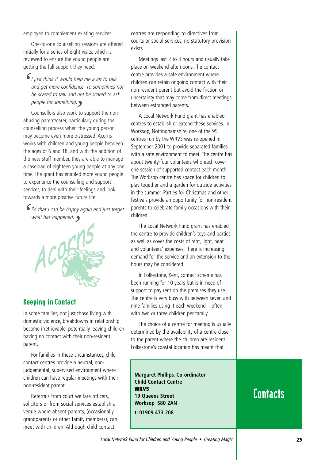employed to complement existing services.

One-to-one counselling sessions are offered initially for a series of eight visits, which is reviewed to ensure the young people are getting the full support they need.

I just think it would help me a lot to talk and get more confidence. To sometimes not be scared to talk and not be scared to ask people for something. *'*

people for something.<br>Counsellors also work to support the nonabusing parent/carer, particularly during the counselling process when the young person may become even more distressed. Acorns works with children and young people between the ages of 6 and 18, and with the addition of the new staff member, they are able to manage a caseload of eighteen young people at any one time. The grant has enabled more young people to experience the counselling and support services, to deal with their feelings and look towards a more positive future life.

So that I can be happy again and just forget<br>
what has happened.  $\sum$ 



#### Keeping in Contact

In some families, not just those living with domestic violence, breakdowns in relationship become irretrievable, potentially leaving children having no contact with their non-resident parent.

For families in these circumstances, child contact centres provide a neutral, nonjudgemental, supervised environment where children can have regular meetings with their non-resident parent.

Referrals from court welfare officers, solicitors or from social services establish a venue where absent parents, (occasionally grandparents or other family members), can meet with children. Although child contact

centres are responding to directives from courts or social services, no statutory provision exists.

Meetings last 2 to 3 hours and usually take place on weekend afternoons. The contact centre provides a safe environment where children can retain ongoing contact with their non-resident parent but avoid the friction or uncertainty that may come from direct meetings between estranged parents.

A Local Network Fund grant has enabled centres to establish or extend these services. In Worksop, Nottinghamshire, one of the 95 centres run by the WRVS was re-opened in September 2001 to provide separated families with a safe environment to meet. The centre has about twenty-four volunteers who each cover one session of supported contact each month. The Worksop centre has space for children to play together and a garden for outside activities in the summer. Parties for Christmas and other festivals provide an opportunity for non-resident parents to celebrate family occasions with their children.

The Local Network Fund grant has enabled the centre to provide children's toys and parties as well as cover the costs of rent, light, heat and volunteers' expenses. There is increasing demand for the service and an extension to the hours may be considered.

In Folkestone, Kent, contact scheme has been running for 10 years but is in need of support to pay rent on the premises they use. The centre is very busy with between seven and nine families using it each weekend – often with two or three children per family.

The choice of a centre for meeting is usually determined by the availability of a centre close to the parent where the children are resident. Folkestone's coastal location has meant that

**Margaret Phillips, Co-ordinator Child Contact Centre WRVS 19 Queens Street Worksop S80 2AN t: 01909 473 208**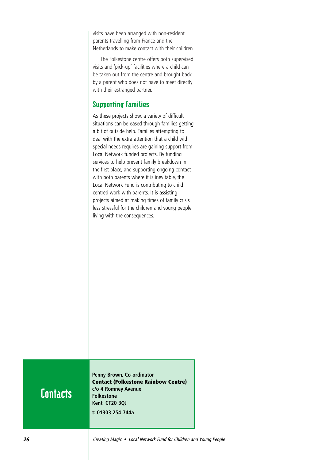visits have been arranged with non-resident parents travelling from France and the Netherlands to make contact with their children.

The Folkestone centre offers both supervised visits and 'pick-up' facilities where a child can be taken out from the centre and brought back by a parent who does not have to meet directly with their estranged partner.

#### Supporting Families

As these projects show, a variety of difficult situations can be eased through families getting a bit of outside help. Families attempting to deal with the extra attention that a child with special needs requires are gaining support from Local Network funded projects. By funding services to help prevent family breakdown in the first place, and supporting ongoing contact with both parents where it is inevitable, the Local Network Fund is contributing to child centred work with parents. It is assisting projects aimed at making times of family crisis less stressful for the children and young people living with the consequences.

### **Contacts**

**Penny Brown, Co-ordinator Contact (Folkestone Rainbow Centre) c/o 4 Romney Avenue Folkestone Kent CT20 3QJ t: 01303 254 744a**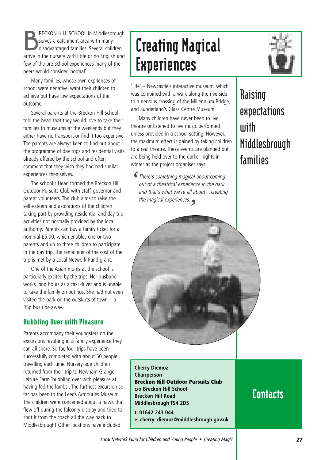RECKON HILL SCHOOL in Middlesbrough<br>
serves a catchment area with many<br>
disadvantaged families. Several children serves a catchment area with many arrive in the nursery with little or no English and few of the pre-school experiences many of their peers would consider 'normal'.

Many families, whose own expriences of school were negative, want their children to achieve but have low expectations of the outcome.

Several parents at the Breckon Hill School told the head that they would love to take their families to museums at the weekends but they either have no transport or find it too expensive. The parents are always keen to find out about the programme of day trips and residential visits already offered by the school and often comment that they wish they had had similar experiences themselves.

The school's Head formed the Breckon Hill Outdoor Pursuits Club with staff, governor and parent volunteers. The club aims to raise the self-esteem and aspirations of the children taking part by providing residential and day trip activities not normally provided by the local authority. Parents can buy a family ticket for a nominal £5.00, which enables one or two parents and up to three children to participate in the day trip. The remainder of the cost of the trip is met by a Local Network Fund grant.

One of the Asian mums at the school is particularly excited by the trips. Her husband works long hours as a taxi driver and is unable to take the family on outings. She had not even visited the park on the outskirts of town – a 35p bus ride away.

#### Bubbling Over with Pleasure

Parents accompany their youngsters on the excursions resulting in a family experience they can all share. So far, four trips have been successfully completed with about 50 people travelling each time. Nursery-age children returned from their trip to Newham Grange Leisure Farm 'bubbling over with pleasure at having fed the lambs'. The furthest excursion so far has been to the Leeds Armouries Museum. The children were concerned about a hawk that flew off during the falconry display and tried to spot it from the coach all the way back to Middlesbrough! Other locations have included

# Creating Magical **Experiences**



'Life' – Newcastle's interactive museum, which was combined with a walk along the riverside to a nervous crossing of the Millennium Bridge, and Sunderland's Glass Centre Museum.

Many children have never been to live theatre or listened to live music performed unless provided in a school setting. However, the maximum effect is gained by taking children to a real theatre. These events are planned but are being held over to the darker nights in winter as the project organiser says:

There's something magical about coming *'* out of a theatrical experience in the dark and that's what we're all about…creating the magical experiences. *'*

**Raising expectations with Middlesbrough families**

**Cherry Diemoz Chairperson Breckon Hill Outdoor Pursuits Club c/o Breckon Hill School Breckon Hill Road Middlesbrough TS4 2DS t: 01642 243 044 e: cherry\_diemoz@middlesbrough.gov.uk**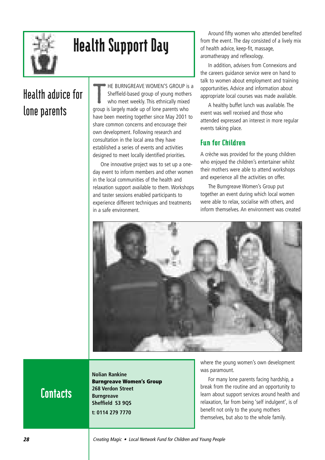

# Health Support Day

# **Health advice for lone parents**

T HE BURNGREAVE WOMEN'S GROUP is a Sheffield-based group of young mothers who meet weekly. This ethnically mixed group is largely made up of lone parents who have been meeting together since May 2001 to share common concerns and encourage their own development. Following research and consultation in the local area they have established a series of events and activities designed to meet locally identified priorities.

One innovative project was to set up a oneday event to inform members and other women in the local communities of the health and relaxation support available to them. Workshops and taster sessions enabled participants to experience different techniques and treatments in a safe environment.

Around fifty women who attended benefited from the event. The day consisted of a lively mix of health advice, keep-fit, massage, aromatherapy and reflexology.

In addition, advisers from Connexions and the careers guidance service were on hand to talk to women about employment and training opportunities. Advice and information about appropriate local courses was made available.

A healthy buffet lunch was available. The event was well received and those who attended expressed an interest in more regular events taking place.

#### Fun for Children

A crèche was provided for the young children who enjoyed the children's entertainer whilst their mothers were able to attend workshops and experience all the activities on offer.

The Burngreave Women's Group put together an event during which local women were able to relax, socialise with others, and inform themselves. An environment was created



### **Contacts**

**Nolian Rankine Burngreave Women's Group 268 Verdon Street Burngreave Sheffield S3 9QS t: 0114 279 7770**

where the young women's own development was paramount.

For many lone parents facing hardship, a break from the routine and an opportunity to learn about support services around health and relaxation, far from being 'self indulgent', is of benefit not only to the young mothers themselves, but also to the whole family.

**28** Creating Magic • Local Network Fund for Children and Young People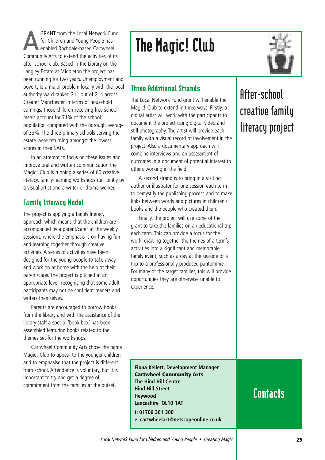GRANT from the Local Network Fund<br>for Children and Young People has<br>enabled Rochdale-based Cartwheel for Children and Young People has enabled Rochdale-based Cartwheel Community Arts to extend the activities of its after-school club. Based in the Library on the Langley Estate at Middleton the project has been running for two years. Unemployment and poverty is a major problem locally with the local authority ward ranked 211 out of 214 across Greater Manchester in terms of household earnings. Those children receiving free school meals account for 71% of the school population compared with the borough average of 33%. The three primary schools serving the estate were returning amongst the lowest scores in their SATs.

In an attempt to focus on these issues and improve oral and written communication the Magic! Club is running a series of 60 creative literacy, family-learning workshops run jointly by a visual artist and a writer or drama worker.

#### Family Literacy Model

The project is applying a family literacy approach which means that the children are accompanied by a parent/carer at the weekly sessions, where the emphasis is on having fun and learning together through creative activities. A series of activities have been designed for the young people to take away and work on at home with the help of their parent/carer. The project is pitched at an appropriate level, recognising that some adult participants may not be confident readers and writers themselves.

Parents are encouraged to borrow books from the library and with the assistance of the library staff a special 'book box' has been assembled featuring books related to the themes set for the workshops.

Cartwheel Community Arts chose the name Magic! Club to appeal to the younger children and to emphasise that the project is different from school. Attendance is voluntary, but it is important to try and get a degree of commitment from the families at the outset.

# The Magic! Club



#### Three Additional Strands

The Local Network Fund grant will enable the Magic! Club to extend in three ways. Firstly, a digital artist will work with the participants to document the project using digital video and still photography. The artist will provide each family with a visual record of involvement in the project. Also a documentary approach will combine interviews and an assessment of outcomes in a document of potential interest to others working in the field.

A second strand is to bring in a visiting author or illustrator for one session each term to demystify the publishing process and to make links between words and pictures in children's books and the people who created them.

Finally, the project will use some of the grant to take the families on an educational trip each term. This can provide a focus for the work, drawing together the themes of a term's activities into a significant and memorable family event, such as a day at the seaside or a trip to a professionally produced pantomime. For many of the target families, this will provide opportunities they are otherwise unable to experience.

### **After-school creative family literacy project**

**Fiona Kellett, Development Manager Cartwheel Community Arts The Hind Hill Centre Hind Hill Street Heywood Lancashire OL10 1AT t: 01706 361 300 e: cartwheelart@netscapeonline.co.uk**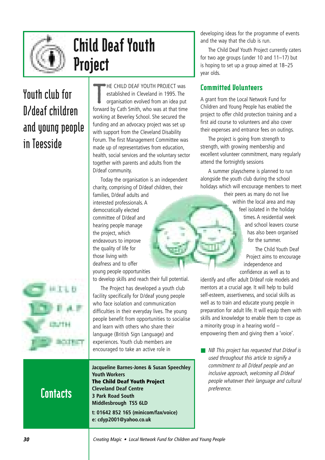

# Child Deaf Youth Project

# **Youth club for D/deaf children and young people in Teesside**



T HE CHILD DEAF YOUTH PROJECT was established in Cleveland in 1995. The organisation evolved from an idea put forward by Cath Smith, who was at that time working at Beverley School. She secured the funding and an advocacy project was set up with support from the Cleveland Disability Forum. The first Management Committee was made up of representatives from education, health, social services and the voluntary sector together with parents and adults from the D/deaf community.

Today the organisation is an independent charity, comprising of D/deaf children, their

families, D/deaf adults and interested professionals. A democratically elected committee of D/deaf and hearing people manage the project, which endeavours to improve the quality of life for those living with deafness and to offer young people opportunities

to develop skills and reach their full potential.

The Project has developed a youth club facility specifically for D/deaf young people who face isolation and communication difficulties in their everyday lives. The young people benefit from opportunities to socialise and learn with others who share their language (British Sign Language) and experiences. Youth club members are encouraged to take an active role in

**Jacqueline Barnes-Jones & Susan Speechley Youth Workers The Child Deaf Youth Project Cleveland Deaf Centre 3 Park Road South Middlesbrough TS5 6LD t: 01642 852 165 (minicom/fax/voice) e: cdyp2001@yahoo.co.uk**

developing ideas for the programme of events and the way that the club is run.

The Child Deaf Youth Project currently caters for two age groups (under 10 and 11–17) but is hoping to set up a group aimed at 18–25 year olds.

#### Committed Volunteers

A grant from the Local Network Fund for Children and Young People has enabled the project to offer child protection training and a first aid course to volunteers and also cover their expenses and entrance fees on outings.

The project is going from strength to strength, with growing membership and excellent volunteer commitment, many regularly attend the fortnightly sessions

A summer playscheme is planned to run alongside the youth club during the school holidays which will encourage members to meet

> their peers as many do not live within the local area and may feel isolated in the holiday times. A residential week and school leavers course has also been organised for the summer.

The Child Youth Deaf Project aims to encourage independence and confidence as well as to

identify and offer adult D/deaf role models and mentors at a crucial age. It will help to build self-esteem, assertiveness, and social skills as well as to train and educate young people in preparation for adult life. It will equip them with skills and knowledge to enable them to cope as a minority group in a hearing world – empowering them and giving them a 'voice'.

■ NB This project has requested that D/deaf is used throughout this article to signify a commitment to all D/deaf people and an inclusive approach, welcoming all D/deaf people whatever their language and cultural preference.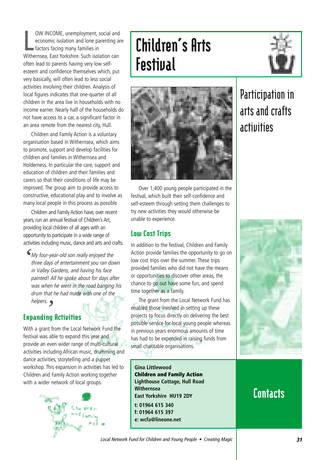L OW INCOME, unemployment, social and economic isolation and lone parenting are factors facing many families in Withernsea, East Yorkshire. Such isolation can often lead to parents having very low selfesteem and confidence themselves which, put very basically, will often lead to less social activities involving their children. Analysis of local figures indicates that one-quarter of all children in the area live in households with no income earner. Nearly half of the households do not have access to a car, a significant factor in an area remote from the nearest city, Hull.

Children and Family Action is a voluntary organisation based in Withernsea, which aims to promote, support and develop facilities for children and families in Withernsea and Holderness. In particular the care, support and education of children and their families and carers so that their conditions of life may be improved. The group aim to provide access to constructive, educational play and to involve as many local people in this process as possible

Children and Family Action have, over recent years, run an annual festival of Children's Art, providing local children of all ages with an opportunity to participate in a wide range of activities including music, dance and arts and crafts.

My four-year-old son really enjoyed the three days of entertainment you ran down in Valley Gardens, and having his face painted! All he spoke about for days after was when he went in the road banging his drum that he had made with one of the helpers. *'*

### Expanding Activities ر<br>nn

With a grant from the Local Network Fund the festival was able to expand this year and provide an even wider range of multi-cultural activities including African music, drumming and dance activities, storytelling and a puppet workshop. This expansion in activities has led to Children and Family Action working together with a wider network of local groups.



# Children's Arts **Festival**





Over 1,400 young people participated in the festival, which built their self-confidence and self-esteem through setting them challenges to try new activities they would otherwise be unable to experience.

#### Low Cost Trips

In addition to the festival, Children and Family Action provide families the opportunity to go on low cost trips over the summer. These trips provided families who did not have the means or opportunities to discover other areas, the chance to go out have some fun, and spend time together as a family.

The grant from the Local Network Fund has enabled those involved in setting up these projects to focus directly on delivering the best possible service for local young people whereas in previous years enormous amounts of time has had to be expended in raising funds from small charitable organisations.

### **Participation in arts and crafts activities**



**Gina Littlewood Children and Family Action Lighthouse Cottage, Hull Road Withernsea East Yorkshire HU19 2DY t: 01964 615 340 f: 01964 615 397 e: wcfa@lineone.net**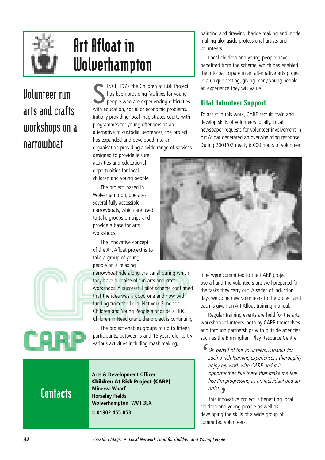

# Art Afloat in Wolverhampton

### **Volunteer run arts and crafts workshops on a narrowboat**

S INCE 1977 the Children at Risk Project has been providing facilities for young people who are experiencing difficulties with education, social or economic problems. Initially providing local magistrates courts with programmes for young offenders as an alternative to custodial sentences, the project has expanded and developed into an organisation providing a wide range of services

designed to provide leisure activities and educational opportunities for local children and young people.

The project, based in Wolverhampton, operates several fully accessible narrowboats, which are used to take groups on trips and provide a base for arts workshops.

The innovative concept of the Art Afloat project is to take a group of young people on a relaxing

narrowboat ride along the canal during which they have a choice of fun arts and craft workshops. A successful pilot scheme confirmed that the idea was a good one and now with funding from the Local Network Fund for Children and Young People alongside a BBC Children in Need grant, the project is continuing.

The project enables groups of up to fifteen participants, between 5 and 16 years old, to try various activities including mask making,

**Arts & Development Officer Children At Risk Project (CARP) Minerva Wharf Horseley Fields Wolverhampton WV1 3LX t: 01902 455 853**

painting and drawing, badge making and model making alongside professional artists and volunteers.

Local children and young people have benefited from the scheme, which has enabled them to participate in an alternative arts project in a unique setting, giving many young people an experience they will value.

#### Vital Volunteer Support

To assist in this work, CARP recruit, train and develop skills of volunteers locally. Local newspaper requests for volunteer involvement in Art Afloat generated an overwhelming response. During 2001/02 nearly 6,000 hours of volunteer



time were committed to the CARP project overall and the volunteers are well prepared for the tasks they carry out. A series of induction days welcome new volunteers to the project and each is given an Art Afloat training manual.

Regular training events are held for the arts workshop volunteers, both by CARP themselves and through partnerships with outside agencies such as the Birmingham Play Resource Centre.

On behalf of the volunteers…thanks for such a rich learning experience. I thoroughly enjoy my work with CARP and it is opportunities like these that make me feel like I'm progressing as an individual and an artist. *'*

This innovative project is benefiting local *'*children and young people as well as developing the skills of a wide group of committed volunteers.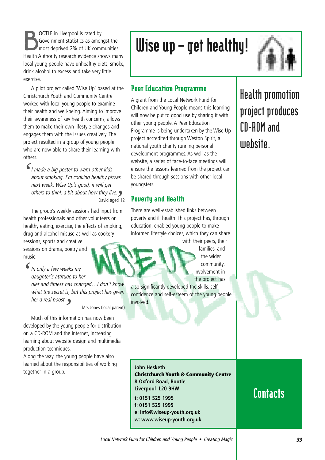**BOOTLE** in Liverpool is rated by<br>Government statistics as amor<br>most deprived 2% of UK com Government statistics as amongst the most deprived 2% of UK communities. Health Authority research evidence shows many local young people have unhealthy diets, smoke, drink alcohol to excess and take very little exercise.

A pilot project called 'Wise Up' based at the Christchurch Youth and Community Centre worked with local young people to examine their health and well-being. Aiming to improve their awareness of key health concerns, allows them to make their own lifestyle changes and engages them with the issues creatively. The project resulted in a group of young people who are now able to share their learning with others.

I made a big poster to warn other kids about smoking. I'm cooking healthy pizzas next week. Wise Up's good, it will get others to think a bit about how they live. David aged 12 *'* **9**<br>d 1

The group's weekly sessions had input from health professionals and other volunteers on healthy eating, exercise, the effects of smoking, drug and alcohol misuse as well as cookery

sessions, sports and creative sessions on drama, poetry and music.

In only a few weeks my daughter's attitude to her diet and fitness has changed…I don't know what the secret is, but this project has given her a real boost. *''*

Mrs Jones (local parent)

Much of this information has now been developed by the young people for distribution on a CD-ROM and the internet, increasing learning about website design and multimedia production techniques.

Along the way, the young people have also learned about the responsibilities of working together in a group.

# Wise up – get healthy!

#### Peer Education Programme

A grant from the Local Network Fund for Children and Young People means this learning will now be put to good use by sharing it with other young people. A Peer Education Programme is being undertaken by the Wise Up project accredited through Weston Spirit, a national youth charity running personal development programmes. As well as the website, a series of face-to-face meetings will ensure the lessons learned from the project can be shared through sessions with other local youngsters.

#### Poverty and Health

There are well-established links between poverty and ill health. This project has, through education, enabled young people to make informed lifestyle choices, which they can share

with their peers, their families, and the wider community. Involvement in the project has

also significantly developed the skills, selfconfidence and self-esteem of the young people involved.

**Christchurch Youth & Community Centre**

**Health promotion project produces CD-ROM and website.**

### **Contacts**

**e: info@wiseup-youth.org.uk w: www.wiseup-youth.org.uk**

**John Hesketh**

**8 Oxford Road, Bootle Liverpool L20 9HW t: 0151 525 1995 f: 0151 525 1995**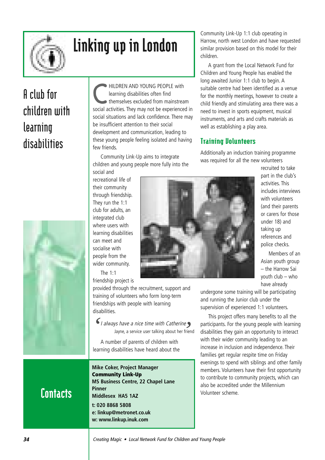

# Linking up in London

# **A club for children with learning disabilities**



HILDREN AND YOUNG PEOPLE with learning disabilities often find themselves excluded from mainstream social activities. They may not be experienced in social situations and lack confidence. There may be insufficient attention to their social development and communication, leading to these young people feeling isolated and having few friends.

Community Link-Up aims to integrate children and young people more fully into the social and

recreational life of their community through friendship. They run the 1:1 club for adults, an integrated club where users with learning disabilities can meet and socialise with people from the wider community. The 1:1

friendship project is

provided through the recruitment, support and training of volunteers who form long-term friendships with people with learning disabilities.

I always have a nice time with Catherine Jayne, a service user talking about her friend *S I* always have a nice time with Catherine sumplement all line a service user talking about her frie

A number of parents of children with learning disabilities have heard about the

**Mike Coker, Project Manager Community Link-Up MS Business Centre, 22 Chapel Lane Pinner Middlesex HA5 1AZ t: 020 8868 5808 e: linkup@metronet.co.uk w: www.linkup.inuk.com** 

Community Link-Up 1:1 club operating in Harrow, north west London and have requested similar provision based on this model for their children.

A grant from the Local Network Fund for Children and Young People has enabled the long awaited Junior 1:1 club to begin. A suitable centre had been identified as a venue for the monthly meetings, however to create a child friendly and stimulating area there was a need to invest in sports equipment, musical instruments, and arts and crafts materials as well as establishing a play area.

#### Training Volunteers

Additionally an induction training programme was required for all the new volunteers

> recruited to take part in the club's activities. This includes interviews with volunteers (and their parents or carers for those under 18) and taking up references and police checks.

Members of an Asian youth group – the Harrow Sai youth club – who have already

undergone some training will be participating and running the Junior club under the supervision of experienced 1:1 volunteers.

This project offers many benefits to all the participants. For the young people with learning disabilities they gain an opportunity to interact with their wider community leading to an increase in inclusion and independence. Their families get regular respite time on Friday evenings to spend with siblings and other family members. Volunteers have their first opportunity to contribute to community projects, which can also be accredited under the Millennium Volunteer scheme.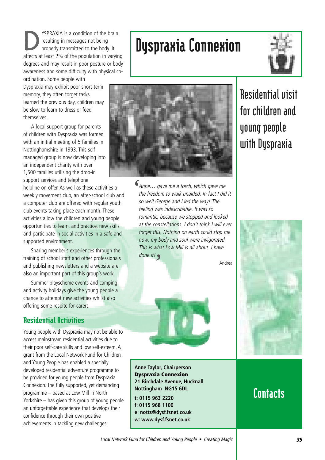**DESPRAXIA** is a condition of the brain<br>resulting in messages not being<br>properly transmitted to the body. It resulting in messages not being affects at least 2% of the population in varying degrees and may result in poor posture or body awareness and some difficulty with physical coordination. Some people with

Dyspraxia may exhibit poor short-term memory, they often forget tasks learned the previous day, children may be slow to learn to dress or feed themselves.

A local support group for parents of children with Dyspraxia was formed with an initial meeting of 5 families in Nottinghamshire in 1993. This selfmanaged group is now developing into an independent charity with over 1,500 families utilising the drop-in support services and telephone

helpline on offer. As well as these activities a weekly movement club, an after-school club and a computer club are offered with regular youth club events taking place each month. These activities allow the children and young people opportunities to learn, and practice, new skills and participate in social activities in a safe and supported environment.

Sharing member's experiences through the training of school staff and other professionals and publishing newsletters and a website are also an important part of this group's work.

Summer playscheme events and camping and activity holidays give the young people a chance to attempt new activities whilst also offering some respite for carers.

#### Residential Activities

Young people with Dyspraxia may not be able to access mainstream residential activities due to their poor self-care skills and low self-esteem. A grant from the Local Network Fund for Children and Young People has enabled a specially developed residential adventure programme to be provided for young people from Dyspraxia Connexion. The fully supported, yet demanding programme – based at Low Mill in North Yorkshire – has given this group of young people an unforgettable experience that develops their confidence through their own positive achievements in tackling new challenges.

# Dyspraxia Connexion



*'*

Anne… gave me a torch, which gave me the freedom to walk unaided. In fact I did it so well George and I led the way! The feeling was indescribable. It was so romantic, because we stopped and looked at the constellations. I don't think I will ever forget this. Nothing on earth could stop me now, my body and soul were invigorated. This is what Low Mill is all about. I have done it! *'*

Andrea





**Anne Taylor, Chairperson Dyspraxia Connexion 21 Birchdale Avenue, Hucknall Nottingham NG15 6DL**

**t: 0115 963 2220 f: 0115 968 1100 e: notts@dysf.fsnet.co.uk w: www.dysf.fsnet.co.uk**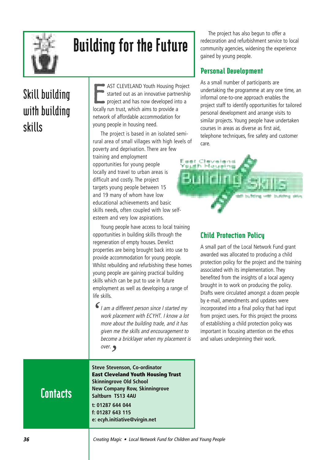

# Building for the Future

# **Skill building with building skills**

E AST CLEVELAND Youth Housing Project started out as an innovative partnership project and has now developed into a locally run trust, which aims to provide a network of affordable accommodation for young people in housing need.

The project is based in an isolated semirural area of small villages with high levels of poverty and deprivation. There are few training and employment opportunities for young people locally and travel to urban areas is difficult and costly. The project targets young people between 15 and 19 many of whom have low educational achievements and basic skills needs, often coupled with low selfesteem and very low aspirations.

Young people have access to local training opportunities in building skills through the regeneration of empty houses. Derelict properties are being brought back into use to provide accommodation for young people. Whilst rebuilding and refurbishing these homes young people are gaining practical building skills which can be put to use in future employment as well as developing a range of life skills.

I am a different person since I started my work placement with ECYHT. I know a lot more about the building trade, and it has given me the skills and encouragement to become a bricklayer when my placement is over. *''*

The project has also begun to offer a redecoration and refurbishment service to local community agencies, widening the experience gained by young people.

#### Personal Development

As a small number of participants are undertaking the programme at any one time, an informal one-to-one approach enables the project staff to identify opportunities for tailored personal development and arrange visits to similar projects. Young people have undertaken courses in areas as diverse as first aid, telephone techniques, fire safety and customer care.



#### Child Protection Policy

A small part of the Local Network Fund grant awarded was allocated to producing a child protection policy for the project and the training associated with its implementation. They benefited from the insights of a local agency brought in to work on producing the policy. Drafts were circulated amongst a dozen people by e-mail, amendments and updates were incorporated into a final policy that had input from project users. For this project the process of establishing a child protection policy was important in focusing attention on the ethos and values underpinning their work.

### **Contacts**

**Steve Stevenson, Co-ordinator East Cleveland Youth Housing Trust Skinningrove Old School New Company Row, Skinningrove Saltburn TS13 4AU t: 01287 644 044 f: 01287 643 115 e: ecyh.initiative@virgin.net**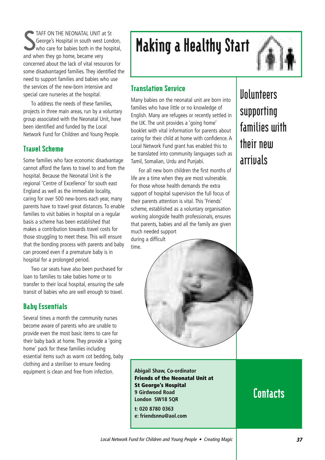S TAFF ON THE NEONATAL UNIT at St George's Hospital in south west London, who care for babies both in the hospital. and when they go home, became very concerned about the lack of vital resources for some disadvantaged families. They identified the need to support families and babies who use the services of the new-born intensive and special care nurseries at the hospital.

To address the needs of these families, projects in three main areas, run by a voluntary group associated with the Neonatal Unit, have been identified and funded by the Local Network Fund for Children and Young People.

#### Travel Scheme

Some families who face economic disadvantage cannot afford the fares to travel to and from the hospital. Because the Neonatal Unit is the regional 'Centre of Excellence' for south east England as well as the immediate locality, caring for over 500 new-borns each year, many parents have to travel great distances. To enable families to visit babies in hospital on a regular basis a scheme has been established that makes a contribution towards travel costs for those struggling to meet these. This will ensure that the bonding process with parents and baby can proceed even if a premature baby is in hospital for a prolonged period.

Two car seats have also been purchased for loan to families to take babies home or to transfer to their local hospital, ensuring the safe transit of babies who are well enough to travel.

#### Baby Essentials

Several times a month the community nurses become aware of parents who are unable to provide even the most basic items to care for their baby back at home. They provide a 'going home' pack for these families including essential items such as warm cot bedding, baby clothing and a steriliser to ensure feeding equipment is clean and free from infection.

## Making a Healthy Start



#### Translation Service

Many babies on the neonatal unit are born into families who have little or no knowledge of English. Many are refugees or recently settled in the UK. The unit provides a 'going home' booklet with vital information for parents about caring for their child at home with confidence. A Local Network Fund grant has enabled this to be translated into community languages such as Tamil, Somalian, Urdu and Punjabi.

For all new born children the first months of life are a time when they are most vulnerable. For those whose health demands the extra support of hospital supervision the full focus of their parents attention is vital. This 'Friends' scheme, established as a voluntary organisation working alongside health professionals, ensures that parents, babies and all the family are given much needed support during a difficult

time.



**Abigail Shaw, Co-ordinator Friends of the Neonatal Unit at St George's Hospital 9 Girdwood Road London SW18 5QR t: 020 8780 0363**

**e: friendsnnu@aol.com**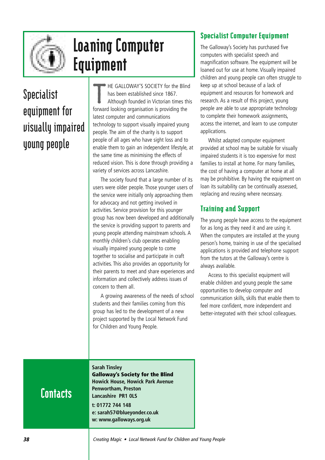

## Loaning Computer Equipment

## **Specialist equipment for visually impaired young people**

T HE GALLOWAY'S SOCIETY for the Blind has been established since 1867. Although founded in Victorian times this forward looking organisation is providing the latest computer and communications technology to support visually impaired young people. The aim of the charity is to support people of all ages who have sight loss and to enable them to gain an independent lifestyle, at the same time as minimising the effects of reduced vision. This is done through providing a variety of services across Lancashire.

The society found that a large number of its users were older people. Those younger users of the service were initially only approaching them for advocacy and not getting involved in activities. Service provision for this younger group has now been developed and additionally the service is providing support to parents and young people attending mainstream schools. A monthly children's club operates enabling visually impaired young people to come together to socialise and participate in craft activities. This also provides an opportunity for their parents to meet and share experiences and information and collectively address issues of concern to them all.

A growing awareness of the needs of school students and their families coming from this group has led to the development of a new project supported by the Local Network Fund for Children and Young People.

### Specialist Computer Equipment

The Galloway's Society has purchased five computers with specialist speech and magnification software. The equipment will be loaned out for use at home. Visually impaired children and young people can often struggle to keep up at school because of a lack of equipment and resources for homework and research. As a result of this project, young people are able to use appropriate technology to complete their homework assignments, access the internet, and learn to use computer applications.

Whilst adapted computer equipment provided at school may be suitable for visually impaired students it is too expensive for most families to install at home. For many families, the cost of having a computer at home at all may be prohibitive. By having the equipment on loan its suitability can be continually assessed, replacing and reusing where necessary.

### Training and Support

The young people have access to the equipment for as long as they need it and are using it. When the computers are installed at the young person's home, training in use of the specialised applications is provided and telephone support from the tutors at the Galloway's centre is always available.

Access to this specialist equipment will enable children and young people the same opportunities to develop computer and communication skills, skills that enable them to feel more confident, more independent and better-integrated with their school colleagues.

## **Contacts**

**Sarah Tinsley Galloway's Society for the Blind Howick House, Howick Park Avenue Penwortham, Preston Lancashire PR1 0LS t: 01772 744 148 e: sarah57@blueyonder.co.uk**

**w: www.galloways.org.uk**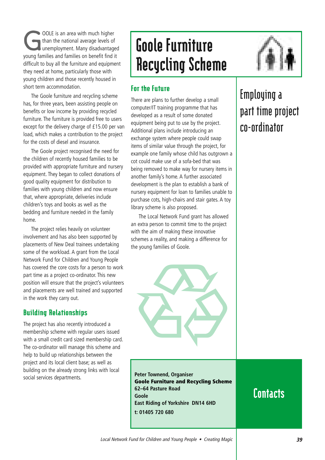**GOOLE** is an area with much higher<br>than the national average levels of<br>unemployment. Many disadvantage than the national average levels of unemployment. Many disadvantaged young families and families on benefit find it difficult to buy all the furniture and equipment they need at home, particularly those with young children and those recently housed in short term accommodation.

The Goole furniture and recycling scheme has, for three years, been assisting people on benefits or low income by providing recycled furniture. The furniture is provided free to users except for the delivery charge of £15.00 per van load, which makes a contribution to the project for the costs of diesel and insurance.

The Goole project recognised the need for the children of recently housed families to be provided with appropriate furniture and nursery equipment. They began to collect donations of good quality equipment for distribution to families with young children and now ensure that, where appropriate, deliveries include children's toys and books as well as the bedding and furniture needed in the family home.

The project relies heavily on volunteer involvement and has also been supported by placements of New Deal trainees undertaking some of the workload. A grant from the Local Network Fund for Children and Young People has covered the core costs for a person to work part time as a project co-ordinator. This new position will ensure that the project's volunteers and placements are well trained and supported in the work they carry out.

#### Building Relationships

The project has also recently introduced a membership scheme with regular users issued with a small credit card sized membership card. The co-ordinator will manage this scheme and help to build up relationships between the project and its local client base; as well as building on the already strong links with local social services departments.

## Goole Furniture Recycling Scheme

### For the Future

There are plans to further develop a small computer/IT training programme that has developed as a result of some donated equipment being put to use by the project. Additional plans include introducing an exchange system where people could swap items of similar value through the project, for example one family whose child has outgrown a cot could make use of a sofa-bed that was being removed to make way for nursery items in another family's home. A further associated development is the plan to establish a bank of nursery equipment for loan to families unable to purchase cots, high-chairs and stair gates. A toy library scheme is also proposed.

The Local Network Fund grant has allowed an extra person to commit time to the project with the aim of making these innovative schemes a reality, and making a difference for the young families of Goole.



**Peter Townend, Organiser Goole Furniture and Recycling Scheme 62–64 Pasture Road Goole East Riding of Yorkshire DN14 6HD t: 01405 720 680**

## **Employing a part time project co-ordinator**

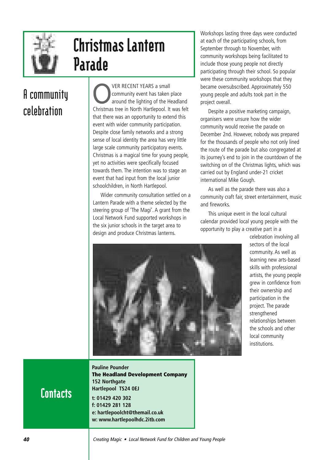

## Christmas Lantern Parade

## **A community celebration**

VER RECENT YEARS a small<br>community event has taken place<br>around the lighting of the Headland community event has taken place Christmas tree in North Hartlepool. It was felt that there was an opportunity to extend this event with wider community participation. Despite close family networks and a strong sense of local identity the area has very little large scale community participatory events. Christmas is a magical time for young people, yet no activities were specifically focused towards them. The intention was to stage an event that had input from the local junior schoolchildren, in North Hartlepool.

Wider community consultation settled on a Lantern Parade with a theme selected by the steering group of 'The Magi'. A grant from the Local Network Fund supported workshops in the six junior schools in the target area to design and produce Christmas lanterns.

Workshops lasting three days were conducted at each of the participating schools, from September through to November, with community workshops being facilitated to include those young people not directly participating through their school. So popular were these community workshops that they became oversubscribed. Approximately 550 young people and adults took part in the project overall.

Despite a positive marketing campaign, organisers were unsure how the wider community would receive the parade on December 2nd. However, nobody was prepared for the thousands of people who not only lined the route of the parade but also congregated at its journey's end to join in the countdown of the switching on of the Christmas lights, which was carried out by England under-21 cricket international Mike Gough.

As well as the parade there was also a community craft fair, street entertainment, music and fireworks.

This unique event in the local cultural calendar provided local young people with the opportunity to play a creative part in a



celebration involving all sectors of the local community. As well as learning new arts-based skills with professional artists, the young people grew in confidence from their ownership and participation in the project. The parade strengthened relationships between the schools and other local community institutions.

**Contacts** 

**Pauline Pounder The Headland Development Company 152 Northgate Hartlepool TS24 0EJ t: 01429 420 302 f: 01429 281 128 e: hartlepoolcht@themail.co.uk w: www.hartlepoolhdc.2itb.com**

**40** Creating Magic • Local Network Fund for Children and Young People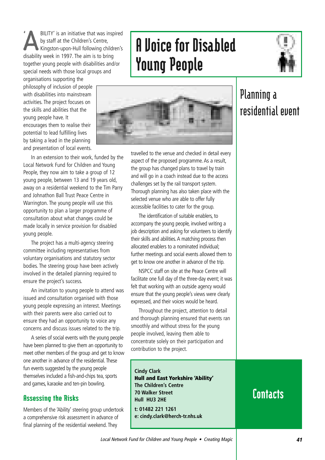**ABILITY'** is an initiative that was inspired<br>by staff at the Children's Centre,<br>Kingston-upon-Hull following children's by staff at the Children's Centre, disability week in 1997. The aim is to bring together young people with disabilities and/or special needs with those local groups and organisations supporting the '

philosophy of inclusion of people with disabilities into mainstream activities. The project focuses on the skills and abilities that the young people have. It encourages them to realise their potential to lead fulfilling lives by taking a lead in the planning and presentation of local events.

A Voice for Disabled Young People





In an extension to their work, funded by the Local Network Fund for Children and Young People, they now aim to take a group of 12 young people, between 13 and 19 years old, away on a residential weekend to the Tim Parry and Johnathon Ball Trust Peace Centre in Warrington. The young people will use this opportunity to plan a larger programme of consultation about what changes could be made locally in service provision for disabled young people.

The project has a multi-agency steering committee including representatives from voluntary organisations and statutory sector bodies. The steering group have been actively involved in the detailed planning required to ensure the project's success.

An invitation to young people to attend was issued and consultation organised with those young people expressing an interest. Meetings with their parents were also carried out to ensure they had an opportunity to voice any concerns and discuss issues related to the trip.

A series of social events with the young people have been planned to give them an opportunity to meet other members of the group and get to know one another in advance of the residential. These fun events suggested by the young people themselves included a fish-and-chips tea, sports and games, karaoke and ten-pin bowling.

#### Assessing the Risks

Members of the 'Ability' steering group undertook a comprehensive risk assessment in advance of final planning of the residential weekend. They

travelled to the venue and checked in detail every aspect of the proposed programme. As a result, the group has changed plans to travel by train and will go in a coach instead due to the access challenges set by the rail transport system. Thorough planning has also taken place with the selected venue who are able to offer fully accessible facilities to cater for the group.

The identification of suitable enablers, to accompany the young people, involved writing a job description and asking for volunteers to identify their skills and abilities. A matching process then allocated enablers to a nominated individual; further meetings and social events allowed them to get to know one another in advance of the trip.

NSPCC staff on site at the Peace Centre will facilitate one full day of the three-day event; it was felt that working with an outside agency would ensure that the young people's views were clearly expressed, and their voices would be heard.

Throughout the project, attention to detail and thorough planning ensured that events ran smoothly and without stress for the young people involved, leaving them able to concentrate solely on their participation and contribution to the project.

**Cindy Clark Hull and East Yorkshire 'Ability' The Children's Centre 70 Walker Street Hull HU3 2HE t: 01482 221 1261**

**e: cindy.clark@herch-tr.nhs.uk**

### **Planning a residential event**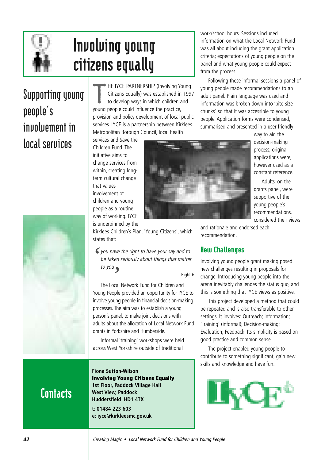

## Involving young citizens equally

## **Supporting young people's involvement in local services**



T HE IYCE PARTNERSHIP (Involving Young Citizens Equally) was established in 1997 to develop ways in which children and young people could influence the practice, provision and policy development of local public services. IYCE is a partnership between Kirklees Metropolitan Borough Council, local health

services and Save the Children Fund. The initiative aims to change services from within, creating longterm cultural change that values involvement of children and young people as a routine way of working. IYCE

is underpinned by the Kirklees Children's Plan, 'Young Citizens', which states that:

you have the right to have your say and to *'* be taken seriously about things that matter to you *'*

Right 6

The Local Network Fund for Children and Young People provided an opportunity for IYCE to involve young people in financial decision-making processes. The aim was to establish a young person's panel, to make joint decisions with adults about the allocation of Local Network Fund grants in Yorkshire and Humberside.

Informal 'training' workshops were held across West Yorkshire outside of traditional

**Contacts** 

**Fiona Sutton-Wilson Involving Young Citizens Equally 1st Floor, Paddock Village Hall West View, Paddock Huddersfield HD1 4TX t: 01484 223 603 e: iyce@kirkleesmc.gov.uk**

work/school hours. Sessions included information on what the Local Network Fund was all about including the grant application criteria; expectations of young people on the panel and what young people could expect from the process.

Following these informal sessions a panel of young people made recommendations to an adult panel. Plain language was used and information was broken down into 'bite-size chunks' so that it was accessible to young people. Application forms were condensed, summarised and presented in a user-friendly



way to aid the decision-making process; original applications were, however used as a constant reference.

Adults, on the grants panel, were supportive of the young people's recommendations, considered their views

and rationale and endorsed each recommendation.

### New Challenges

Involving young people grant making posed new challenges resulting in proposals for change. Introducing young people into the arena inevitably challenges the status quo, and this is something that IYCE views as positive.

This project developed a method that could be repeated and is also transferable to other settings. It involves: Outreach; Information; 'Training' (informal); Decision-making; Evaluation; Feedback. Its simplicity is based on good practice and common sense.

The project enabled young people to contribute to something significant, gain new skills and knowledge and have fun.

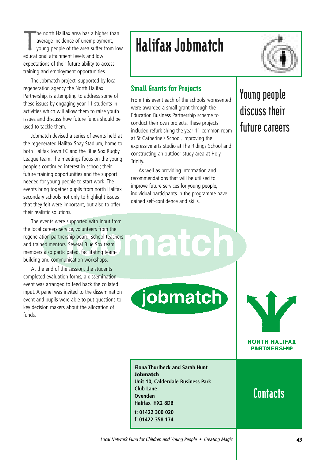T he north Halifax area has a higher than average incidence of unemployment, young people of the area suffer from low educational attainment levels and low expectations of their future ability to access training and employment opportunities.

The Jobmatch project, supported by local regeneration agency the North Halifax Partnership, is attempting to address some of these issues by engaging year 11 students in activities which will allow them to raise youth issues and discuss how future funds should be used to tackle them.

Jobmatch devised a series of events held at the regenerated Halifax Shay Stadium, home to both Halifax Town FC and the Blue Sox Rugby League team. The meetings focus on the young people's continued interest in school; their future training opportunities and the support needed for young people to start work. The events bring together pupils from north Halifax secondary schools not only to highlight issues that they felt were important, but also to offer their realistic solutions.

The events were supported with input from the local careers service, volunteers from the regeneration partnership board, school teachers and trained mentors. Several Blue Sox team members also participated, facilitating teambuilding and communication workshops.

At the end of the session, the students completed evaluation forms, a dissemination event was arranged to feed back the collated input. A panel was invited to the dissemination event and pupils were able to put questions to key decision makers about the allocation of funds.

## Halifax Jobmatch



### Small Grants for Projects

From this event each of the schools represented were awarded a small grant through the Education Business Partnership scheme to conduct their own projects. These projects included refurbishing the year 11 common room at St Catherine's School, improving the expressive arts studio at The Ridings School and constructing an outdoor study area at Holy Trinity.

As well as providing information and recommendations that will be utilised to improve future services for young people, individual participants in the programme have gained self-confidence and skills.

**ate** 

jobmatch

### **Young people discuss their future careers**

**Fiona Thurlbeck and Sarah Hunt Jobmatch Unit 10, Calderdale Business Park Club Lane Ovenden Halifax HX2 8DB t: 01422 300 020 f: 01422 358 174**

## **Contacts**

**NORTH HALIFAX PARTNERSHIP**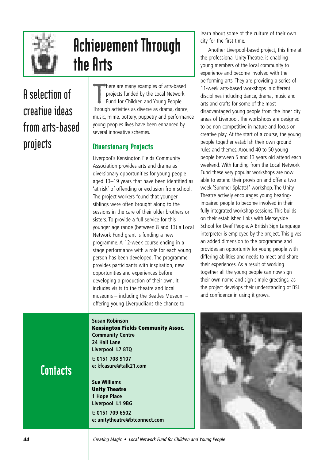

## Achievement Through the Arts

## **A selection of creative ideas from arts-based projects**

T here are many examples of arts-based projects funded by the Local Network Fund for Children and Young People. Through activities as diverse as drama, dance, music, mime, pottery, puppetry and performance young peoples lives have been enhanced by several innovative schemes.

### Diversionary Projects

Liverpool's Kensington Fields Community Association provides arts and drama as diversionary opportunities for young people aged 13–19 years that have been identified as 'at risk' of offending or exclusion from school. The project workers found that younger siblings were often brought along to the sessions in the care of their older brothers or sisters. To provide a full service for this younger age range (between 8 and 13) a Local Network Fund grant is funding a new programme. A 12-week course ending in a stage performance with a role for each young person has been developed. The programme provides participants with inspiration, new opportunities and experiences before developing a production of their own. It includes visits to the theatre and local museums – including the Beatles Museum – offering young Liverpudlians the chance to

learn about some of the culture of their own city for the first time.

Another Liverpool-based project, this time at the professional Unity Theatre, is enabling young members of the local community to experience and become involved with the performing arts. They are providing a series of 11-week arts-based workshops in different disciplines including dance, drama, music and arts and crafts for some of the most disadvantaged young people from the inner city areas of Liverpool. The workshops are designed to be non-competitive in nature and focus on creative play. At the start of a course, the young people together establish their own ground rules and themes. Around 40 to 50 young people between 5 and 13 years old attend each weekend. With funding from the Local Network Fund these very popular workshops are now able to extend their provision and offer a two week 'Summer Splatts!' workshop. The Unity Theatre actively encourages young hearingimpaired people to become involved in their fully integrated workshop sessions. This builds on their established links with Merseyside School for Deaf People. A British Sign Language interpreter is employed by the project. This gives an added dimension to the programme and provides an opportunity for young people with differing abilities and needs to meet and share their experiences. As a result of working together all the young people can now sign their own name and sign simple greetings, as the project develops their understanding of BSL and confidence in using it grows.

**Susan Robinson**

**Kensington Fields Community Assoc. Community Centre 24 Hall Lane Liverpool L7 8TQ t: 0151 708 9107 e: kfcasure@talk21.com**

**Sue Williams Unity Theatre 1 Hope Place Liverpool L1 9BG t: 0151 709 6502 e: unitytheatre@btconnect.com**

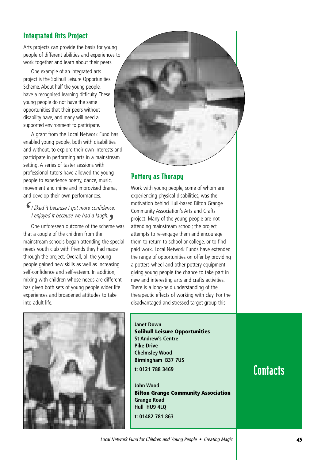### Integrated Arts Project

Arts projects can provide the basis for young people of different abilities and experiences to work together and learn about their peers.

One example of an integrated arts project is the Solihull Leisure Opportunities Scheme. About half the young people, have a recognised learning difficulty. These young people do not have the same opportunities that their peers without disability have, and many will need a supported environment to participate.

A grant from the Local Network Fund has enabled young people, both with disabilities and without, to explore their own interests and participate in performing arts in a mainstream setting. A series of taster sessions with professional tutors have allowed the young people to experience poetry, dance, music, movement and mime and improvised drama, and develop their own performances.

I liked it because I got more confidence; I enjoyed it because we had a laugh. *'*

I enjoyed it because we had a laugh.<br>One unforeseen outcome of the scheme was that a couple of the children from the mainstream schools began attending the special needs youth club with friends they had made through the project. Overall, all the young people gained new skills as well as increasing self-confidence and self-esteem. In addition, mixing with children whose needs are different has given both sets of young people wider life experiences and broadened attitudes to take into adult life.



#### Pottery as Therapy

Work with young people, some of whom are experiencing physical disabilities, was the motivation behind Hull-based Bilton Grange Community Association's Arts and Crafts project. Many of the young people are not attending mainstream school; the project attempts to re-engage them and encourage them to return to school or college, or to find paid work. Local Network Funds have extended the range of opportunities on offer by providing a potters-wheel and other pottery equipment giving young people the chance to take part in new and interesting arts and crafts activities. There is a long-held understanding of the therapeutic effects of working with clay. For the disadvantaged and stressed target group this



**Janet Down Solihull Leisure Opportunities St Andrew's Centre Pike Drive Chelmsley Wood Birmingham B37 7US t: 0121 788 3469**

**John Wood Bilton Grange Community Association Grange Road Hull HU9 4LQ t: 01482 781 863**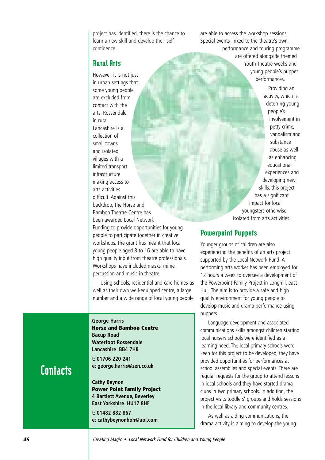project has identified, there is the chance to learn a new skill and develop their selfconfidence.

#### Rural Arts

However, it is not just in urban settings that some young people are excluded from contact with the arts. Rossendale in rural Lancashire is a collection of small towns and isolated villages with a limited transport infrastructure making access to arts activities difficult. Against this backdrop, The Horse and Bamboo Theatre Centre has been awarded Local Network Funding to provide opportunities for young people to participate together in creative workshops. The grant has meant that local young people aged 8 to 16 are able to have high quality input from theatre professionals. Workshops have included masks, mime, percussion and music in theatre.

Using schools, residential and care homes as well as their own well-equipped centre, a large number and a wide range of local young people

**George Harris Horse and Bamboo Centre Bacup Road Waterfoot Rossendale Lancashire BB4 7HB**

**t: 01706 220 241 e: george.harris@zen.co.uk** 

**Cathy Beynon Power Point Family Project 4 Bartlett Avenue, Beverley East Yorkshire HU17 8HF**

**t: 01482 882 867 e: cathybeynonhoh@aol.com**  are able to access the workshop sessions. Special events linked to the theatre's own performance and touring programme are offered alongside themed Youth Theatre weeks and young people's puppet performances.

> Providing an activity, which is deterring young people's involvement in petty crime, vandalism and substance abuse as well as enhancing educational experiences and developing new skills, this project has a significant impact for local youngsters otherwise isolated from arts activities.

#### Powerpoint Puppets

Younger groups of children are also experiencing the benefits of an arts project supported by the Local Network Fund. A performing arts worker has been employed for 12 hours a week to oversee a development of the Powerpoint Family Project in Longhill, east Hull. The aim is to provide a safe and high quality environment for young people to develop music and drama performance using puppets.

Language development and associated communications skills amongst children starting local nursery schools were identified as a learning need. The local primary schools were keen for this project to be developed; they have provided opportunities for performances at school assemblies and special events. There are regular requests for the group to attend lessons in local schools and they have started drama clubs in two primary schools. In addition, the project visits toddlers' groups and holds sessions in the local library and community centres.

As well as aiding communications, the drama activity is aiming to develop the young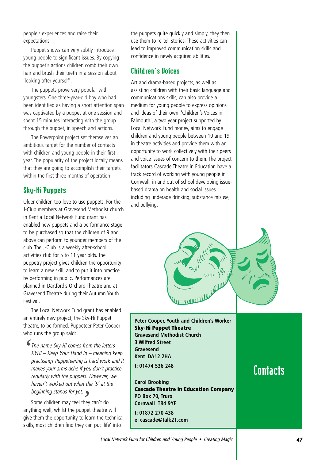people's experiences and raise their expectations.

Puppet shows can very subtly introduce young people to significant issues. By copying the puppet's actions children comb their own hair and brush their teeth in a session about 'looking after yourself'.

The puppets prove very popular with youngsters. One three-year-old boy who had been identified as having a short attention span was captivated by a puppet at one session and spent 15 minutes interacting with the group through the puppet, in speech and actions.

The Powerpoint project set themselves an ambitious target for the number of contacts with children and young people in their first year. The popularity of the project locally means that they are going to accomplish their targets within the first three months of operation.

#### Sky-Hi Puppets

Older children too love to use puppets. For the J-Club members at Gravesend Methodist church in Kent a Local Network Fund grant has enabled new puppets and a performance stage to be purchased so that the children of 9 and above can perform to younger members of the club. The J-Club is a weekly after-school activities club for 5 to 11 year olds. The puppetry project gives children the opportunity to learn a new skill, and to put it into practice by performing in public. Performances are planned in Dartford's Orchard Theatre and at Gravesend Theatre during their Autumn Youth Festival.

The Local Network Fund grant has enabled an entirely new project, the Sky-Hi Puppet theatre, to be formed. Puppeteer Peter Cooper who runs the group said:

The name Sky-Hi comes from the letters KYHI – Keep Your Hand In – meaning keep practising! Puppeteering is hard work and it makes your arms ache if you don't practice regularly with the puppets. However, we haven't worked out what the 'S' at the beginning stands for yet. *'*

beginning stands for yet.<br>Some children may feel they can't do<br><sup>thing</sup> well whilst the nunnet theatre anything well, whilst the puppet theatre will give them the opportunity to learn the technical skills, most children find they can put 'life' into

the puppets quite quickly and simply, they then use them to re-tell stories. These activities can lead to improved communication skills and confidence in newly acquired abilities.

#### Children's Voices

Art and drama-based projects, as well as assisting children with their basic language and communications skills, can also provide a medium for young people to express opinions and ideas of their own. 'Children's Voices in Falmouth', a two year project supported by Local Network Fund money, aims to engage children and young people between 10 and 19 in theatre activities and provide them with an opportunity to work collectively with their peers and voice issues of concern to them. The project facilitators Cascade Theatre in Education have a track record of working with young people in Cornwall, in and out of school developing issuebased drama on health and social issues including underage drinking, substance misuse, and bullying.



**Peter Cooper, Youth and Children's Worker Sky-Hi Puppet Theatre Gravesend Methodist Church 3 Wilfred Street Gravesend Kent DA12 2HA t: 01474 536 248**

**Carol Brooking Cascade Theatre in Education Company PO Box 70, Truro Cornwall TR4 9YF t: 01872 270 438 e: cascade@talk21.com**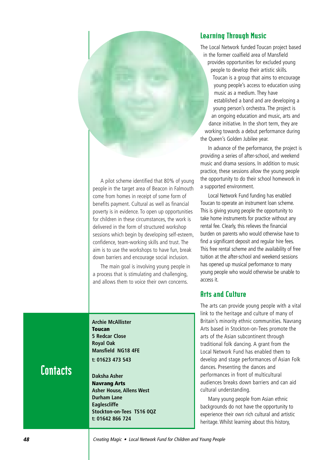#### Learning Through Music

The Local Network funded Toucan project based in the former coalfield area of Mansfield provides opportunities for excluded young people to develop their artistic skills. Toucan is a group that aims to encourage young people's access to education using music as a medium. They have established a band and are developing a young person's orchestra. The project is an ongoing education and music, arts and dance initiative. In the short term, they are working towards a debut performance during the Queen's Golden Jubilee year.

In advance of the performance, the project is providing a series of after-school, and weekend music and drama sessions. In addition to music practice, these sessions allow the young people the opportunity to do their school homework in a supported environment.

Local Network Fund funding has enabled Toucan to operate an instrument loan scheme. This is giving young people the opportunity to take home instruments for practice without any rental fee. Clearly, this relieves the financial burden on parents who would otherwise have to find a significant deposit and regular hire fees. This free rental scheme and the availability of free tuition at the after-school and weekend sessions has opened up musical performance to many young people who would otherwise be unable to access it.

#### Arts and Culture

The arts can provide young people with a vital link to the heritage and culture of many of Britain's minority ethnic communities. Navrang Arts based in Stockton-on-Tees promote the arts of the Asian subcontinent through traditional folk dancing. A grant from the Local Network Fund has enabled them to develop and stage performances of Asian Folk dances. Presenting the dances and performances in front of multicultural audiences breaks down barriers and can aid cultural understanding.

Many young people from Asian ethnic backgrounds do not have the opportunity to experience their own rich cultural and artistic heritage. Whilst learning about this history,

A pilot scheme identified that 80% of young people in the target area of Beacon in Falmouth come from homes in receipt of some form of benefits payment. Cultural as well as financial poverty is in evidence. To open up opportunities for children in these circumstances, the work is delivered in the form of structured workshop sessions which begin by developing self-esteem, confidence, team-working skills and trust. The aim is to use the workshops to have fun, break down barriers and encourage social inclusion.

The main goal is involving young people in a process that is stimulating and challenging, and allows them to voice their own concerns.

**Archie McAllister Toucan 5 Redcar Close Royal Oak Mansfield NG18 4FE t: 01623 473 543**

**Daksha Asher Navrang Arts**

**Durham Lane Eaglescliffe**

**t: 01642 866 724**

**Asher House, Allens West**

**Stockton-on-Tees TS16 0QZ**

**Contacts** 

**48** Creating Magic • Local Network Fund for Children and Young People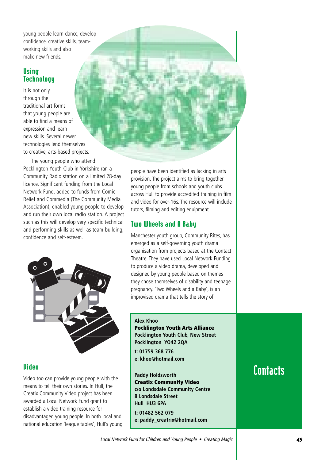young people learn dance, develop confidence, creative skills, teamworking skills and also make new friends.

### **Using Technology**

It is not only through the traditional art forms that young people are able to find a means of expression and learn new skills. Several newer technologies lend themselves to creative, arts-based projects.

The young people who attend Pocklington Youth Club in Yorkshire ran a Community Radio station on a limited 28-day licence. Significant funding from the Local Network Fund, added to funds from Comic Relief and Commedia (The Community Media Association), enabled young people to develop and run their own local radio station. A project such as this will develop very specific technical and performing skills as well as team-building, confidence and self-esteem.



### **Uideo**

Video too can provide young people with the means to tell their own stories. In Hull, the Creatix Community Video project has been awarded a Local Network Fund grant to establish a video training resource for disadvantaged young people. In both local and national education 'league tables', Hull's young

people have been identified as lacking in arts provision. The project aims to bring together young people from schools and youth clubs across Hull to provide accredited training in film and video for over-16s. The resource will include tutors, filming and editing equipment.

### Two Wheels and A Baby

Manchester youth group, Community Rites, has emerged as a self-governing youth drama organisation from projects based at the Contact Theatre. They have used Local Network Funding to produce a video drama, developed and designed by young people based on themes they chose themselves of disability and teenage pregnancy. 'Two Wheels and a Baby', is an improvised drama that tells the story of

#### **Alex Khoo**

**Pocklington Youth Arts Alliance Pocklington Youth Club, New Street Pocklington YO42 2QA**

**t: 01759 368 776 e: khoo@hotmail.com** 

**Paddy Holdsworth Creatix Community Video c/o Londsdale Community Centre 8 Londsdale Street Hull HU3 6PA**

**t: 01482 562 079 e: paddy\_creatrix@hotmail.com**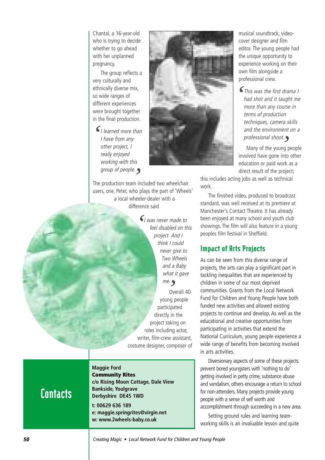Chantal, a 16-year-old who is trying to decide whether to go ahead with her unplanned pregnancy.

The group reflects a very culturally and ethnically diverse mix, so wide ranges of different experiences were brought together in the final production.

I learned more than I have from any other project, I really enjoyed working with this group of people. *'*

The production team included two wheelchair *'* users, one, Peter, who plays the part of 'Wheels' a local wheeler-dealer with a difference said

> $\bigcup_{i=1}^{\infty}$  was never made to *feel disabled on the sea* feel disabled on this project. And I think I could never give to Two Wheels and a Baby what it gave me.<br>0v Overall 40 young people participated directly in the project taking on roles including actor, writer, film-crew assistant, costume designer, composer of

musical soundtrack, videocover designer and film editor. The young people had the unique opportunity to experience working on their own film alongside a professional crew.

This was the first drama I *'*had shot and it taught me more than any course in terms of production techniques, camera skills and the environment on a professional shoot.

r*ofessional shoot.*<br>Many of the young people involved have gone into other education or paid work as a direct result of the project;

this includes acting jobs as well as technical work.

The finished video, produced to broadcast standard, was well received at its premiere at Manchester's Contact Theatre. It has already been enjoyed at many school and youth club showings. The film will also feature in a young peoples film festival in Sheffield.

#### Impact of Arts Projects

As can be seen from this diverse range of projects, the arts can play a significant part in tackling inequalities that are experienced by children in some of our most deprived communities. Grants from the Local Network Fund for Children and Young People have both funded new activities and allowed existing projects to continue and develop. As well as the educational and creative opportunities from participating in activities that extend the National Curriculum, young people experience a wide range of benefits from becoming involved in arts activities.

Diversionary aspects of some of these projects prevent bored youngsters with 'nothing to do' getting involved in petty crime, substance abuse and vandalism, others encourage a return to school for non-attenders. Many projects provide young people with a sense of self worth and accomplishment through succeeding in a new area.

Setting ground rules and learning teamworking skills is an invaluable lesson and quite

### **Contacts**

**Maggie Ford Community Rites c/o Rising Moon Cottage, Dale View Bankside, Youlgrave Derbyshire DE45 1WD t: 00629 636 189 e: maggie.springrites@virgin.net w: www.2wheels-baby.co.uk**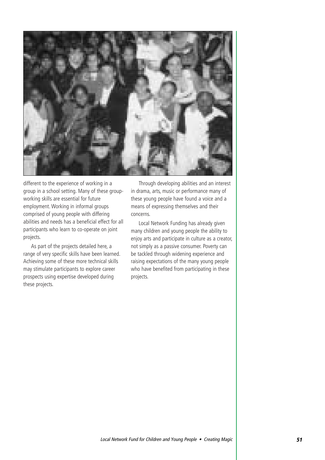

different to the experience of working in a group in a school setting. Many of these groupworking skills are essential for future employment. Working in informal groups comprised of young people with differing abilities and needs has a beneficial effect for all participants who learn to co-operate on joint projects.

As part of the projects detailed here, a range of very specific skills have been learned. Achieving some of these more technical skills may stimulate participants to explore career prospects using expertise developed during these projects.

Through developing abilities and an interest in drama, arts, music or performance many of these young people have found a voice and a means of expressing themselves and their concerns.

Local Network Funding has already given many children and young people the ability to enjoy arts and participate in culture as a creator, not simply as a passive consumer. Poverty can be tackled through widening experience and raising expectations of the many young people who have benefited from participating in these projects.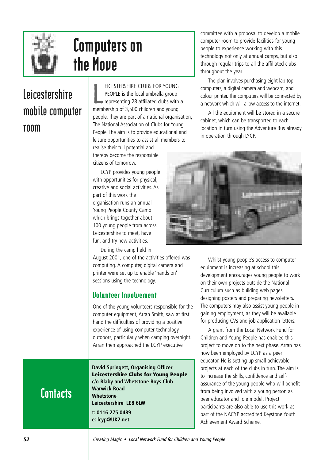

## Computers on the Move

### **Leicestershire mobile computer room**

L EICESTERSHIRE CLUBS FOR YOUNG PEOPLE is the local umbrella group representing 28 affiliated clubs with a membership of 3,500 children and young people. They are part of a national organisation, The National Association of Clubs for Young People. The aim is to provide educational and leisure opportunities to assist all members to

realise their full potential and thereby become the responsible citizens of tomorrow.

LCYP provides young people with opportunities for physical, creative and social activities. As part of this work the organisation runs an annual Young People County Camp which brings together about 100 young people from across Leicestershire to meet, have fun, and try new activities.

During the camp held in

August 2001, one of the activities offered was computing. A computer, digital camera and printer were set up to enable 'hands on' sessions using the technology.

#### Volunteer Involvement

One of the young volunteers responsible for the computer equipment, Arran Smith, saw at first hand the difficulties of providing a positive experience of using computer technology outdoors, particularly when camping overnight. Arran then approached the LCYP executive

**David Springett, Organising Officer Leicestershire Clubs for Young People c/o Blaby and Whetstone Boys Club Warwick Road Whetstone Leicestershire LE8 6LW t: 0116 275 0489 e: lcyp@UK2.net**

committee with a proposal to develop a mobile computer room to provide facilities for young people to experience working with this technology not only at annual camps, but also through regular trips to all the affiliated clubs throughout the year.

The plan involves purchasing eight lap top computers, a digital camera and webcam, and colour printer. The computers will be connected by a network which will allow access to the internet.

All the equipment will be stored in a secure cabinet, which can be transported to each location in turn using the Adventure Bus already in operation through LYCP.



Whilst young people's access to computer equipment is increasing at school this development encourages young people to work on their own projects outside the National Curriculum such as building web pages, designing posters and preparing newsletters. The computers may also assist young people in gaining employment, as they will be available for producing CVs and job application letters.

A grant from the Local Network Fund for Children and Young People has enabled this project to move on to the next phase. Arran has now been employed by LCYP as a peer educator. He is setting up small achievable projects at each of the clubs in turn. The aim is to increase the skills, confidence and selfassurance of the young people who will benefit from being involved with a young person as peer educator and role model. Project participants are also able to use this work as part of the NACYP accredited Keystone Youth Achievement Award Scheme.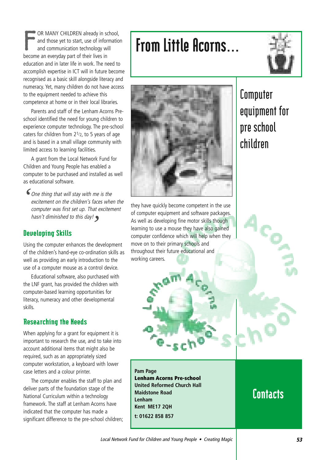F OR MANY CHILDREN already in school, and those yet to start, use of information and communication technology will become an everyday part of their lives in education and in later life in work. The need to accomplish expertise in ICT will in future become recognised as a basic skill alongside literacy and numeracy. Yet, many children do not have access to the equipment needed to achieve this competence at home or in their local libraries.

Parents and staff of the Lenham Acorns Preschool identified the need for young children to experience computer technology. The pre-school caters for children from 21/2, to 5 years of age and is based in a small village community with limited access to learning facilities.

A grant from the Local Network Fund for Children and Young People has enabled a computer to be purchased and installed as well as educational software.

One thing that will stay with me is the *'* excitement on the children's faces when the computer was first set up. That excitement hasn't diminished to this day! *'*

#### Developing Skills

Using the computer enhances the development of the children's hand-eye co-ordination skills as well as providing an early introduction to the use of a computer mouse as a control device.

Educational software, also purchased with the LNF grant, has provided the children with computer-based learning opportunities for literacy, numeracy and other developmental skills.

#### Researching the Needs

When applying for a grant for equipment it is important to research the use, and to take into account additional items that might also be required, such as an appropriately sized computer workstation, a keyboard with lower case letters and a colour printer.

The computer enables the staff to plan and deliver parts of the foundation stage of the National Curriculum within a technology framework. The staff at Lenham Acorns have indicated that the computer has made a significant difference to the pre-school children;

## From Little Acorns…





they have quickly become competent in the use of computer equipment and software packages. As well as developing fine motor skills though learning to use a mouse they have also gained computer confidence which will help when they move on to their primary schools and throughout their future educational and working careers.

### **Computer equipment for pre school children**

**Contacts** 

**Lenham Acorns Pre-school United Reformed Church Hall**

**Pam Page**

**Lenham** 

**Maidstone Road**

**Kent ME17 2QH t: 01622 858 857**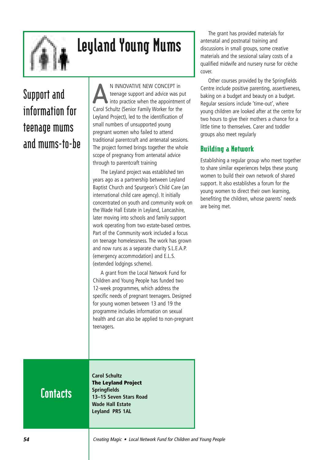

## Leyland Young Mums

## **Support and information for teenage mums and mums-to-be**

N INNOVATIVE NEW CONCEPT in<br>teenage support and advice was put<br>into practice when the appointment of teenage support and advice was put Carol Schultz (Senior Family Worker for the Leyland Project), led to the identification of small numbers of unsupported young pregnant women who failed to attend traditional parentcraft and antenatal sessions. The project formed brings together the whole scope of pregnancy from antenatal advice through to parentcraft training

The Leyland project was established ten years ago as a partnership between Leyland Baptist Church and Spurgeon's Child Care (an international child care agency). It initially concentrated on youth and community work on the Wade Hall Estate in Leyland, Lancashire, later moving into schools and family support work operating from two estate-based centres. Part of the Community work included a focus on teenage homelessness. The work has grown and now runs as a separate charity S.L.E.A.P. (emergency accommodation) and E.L.S. (extended lodgings scheme).

A grant from the Local Network Fund for Children and Young People has funded two 12-week programmes, which address the specific needs of pregnant teenagers. Designed for young women between 13 and 19 the programme includes information on sexual health and can also be applied to non-pregnant teenagers.

The grant has provided materials for antenatal and postnatal training and discussions in small groups, some creative materials and the sessional salary costs of a qualified midwife and nursery nurse for crèche cover.

Other courses provided by the Springfields Centre include positive parenting, assertiveness, baking on a budget and beauty on a budget. Regular sessions include 'time-out', where young children are looked after at the centre for two hours to give their mothers a chance for a little time to themselves. Carer and toddler groups also meet regularly

### Building a Network

Establishing a regular group who meet together to share similar experiences helps these young women to build their own network of shared support. It also establishes a forum for the young women to direct their own learning, benefiting the children, whose parents' needs are being met.

## **Contacts**

**Carol Schultz The Leyland Project Springfields 13–15 Seven Stars Road Wade Hall Estate Leyland PR5 1AL**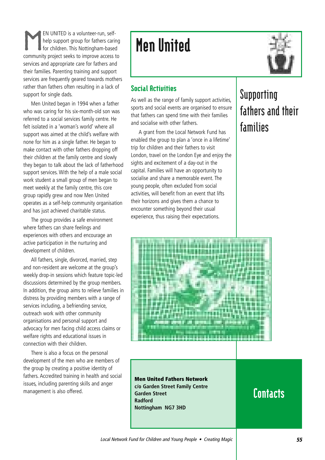EN UNITED is a volunteer-run, self-<br>help support group for fathers carin<br>for children. This Nottingham-based help support group for fathers caring for children. This Nottingham-based community project seeks to improve access to services and appropriate care for fathers and their families. Parenting training and support services are frequently geared towards mothers rather than fathers often resulting in a lack of support for single dads.

Men United began in 1994 when a father who was caring for his six-month-old son was referred to a social services family centre. He felt isolated in a 'woman's world' where all support was aimed at the child's welfare with none for him as a single father. He began to make contact with other fathers dropping off their children at the family centre and slowly they began to talk about the lack of fatherhood support services. With the help of a male social work student a small group of men began to meet weekly at the family centre, this core group rapidly grew and now Men United operates as a self-help community organisation and has just achieved charitable status.

The group provides a safe environment where fathers can share feelings and experiences with others and encourage an active participation in the nurturing and development of children.

All fathers, single, divorced, married, step and non-resident are welcome at the group's weekly drop-in sessions which feature topic-led discussions determined by the group members. In addition, the group aims to relieve families in distress by providing members with a range of services including, a befriending service, outreach work with other community organisations and personal support and advocacy for men facing child access claims or welfare rights and educational issues in connection with their children.

There is also a focus on the personal development of the men who are members of the group by creating a positive identity of fathers. Accredited training in health and social issues, including parenting skills and anger management is also offered.

## Men United



### Social Activities

As well as the range of family support activities, sports and social events are organised to ensure that fathers can spend time with their families and socialise with other fathers.

A grant from the Local Network Fund has enabled the group to plan a 'once in a lifetime' trip for children and their fathers to visit London, travel on the London Eye and enjoy the sights and excitement of a day-out in the capital. Families will have an opportunity to socialise and share a memorable event. The young people, often excluded from social activities, will benefit from an event that lifts their horizons and gives them a chance to encounter something beyond their usual experience, thus raising their expectations.

## **Supporting fathers and their families**



**Men United Fathers Network c/o Garden Street Family Centre Garden Street Radford Nottingham NG7 3HD**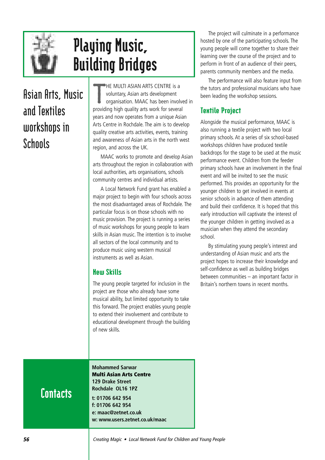

## Playing Music, Building Bridges

## **Asian Arts, Music and Textiles workshops in Schools**

T HE MULTI ASIAN ARTS CENTRE is a voluntary, Asian arts development organisation. MAAC has been involved in providing high quality arts work for several years and now operates from a unique Asian Arts Centre in Rochdale. The aim is to develop quality creative arts activities, events, training and awareness of Asian arts in the north west region, and across the UK.

MAAC works to promote and develop Asian arts throughout the region in collaboration with local authorities, arts organisations, schools community centres and individual artists.

A Local Network Fund grant has enabled a major project to begin with four schools across the most disadvantaged areas of Rochdale. The particular focus is on those schools with no music provision. The project is running a series of music workshops for young people to learn skills in Asian music. The intention is to involve all sectors of the local community and to produce music using western musical instruments as well as Asian.

### New Skills

The young people targeted for inclusion in the project are those who already have some musical ability, but limited opportunity to take this forward. The project enables young people to extend their involvement and contribute to educational development through the building of new skills.

The project will culminate in a performance hosted by one of the participating schools. The young people will come together to share their learning over the course of the project and to perform in front of an audience of their peers, parents community members and the media.

The performance will also feature input from the tutors and professional musicians who have been leading the workshop sessions.

### Textile Project

Alongside the musical performance, MAAC is also running a textile project with two local primary schools. At a series of six school-based workshops children have produced textile backdrops for the stage to be used at the music performance event. Children from the feeder primary schools have an involvement in the final event and will be invited to see the music performed. This provides an opportunity for the younger children to get involved in events at senior schools in advance of them attending and build their confidence. It is hoped that this early introduction will captivate the interest of the younger children in getting involved as a musician when they attend the secondary school.

By stimulating young people's interest and understanding of Asian music and arts the project hopes to increase their knowledge and self-confidence as well as building bridges between communities – an important factor in Britain's northern towns in recent months.

### **Contacts**

**Mohammed Sarwar Multi Asian Arts Centre 129 Drake Street Rochdale OL16 1PZ t: 01706 642 954 f: 01706 642 954 e: maac@zetnet.co.uk w: www.users.zetnet.co.uk/maac**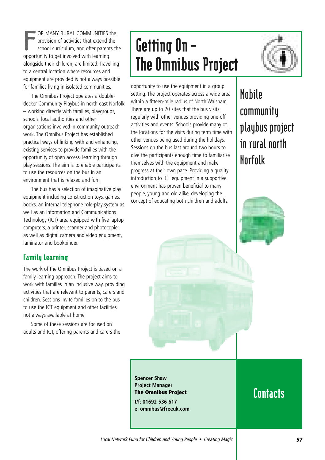F OR MANY RURAL COMMUNITIES the provision of activities that extend the school curriculum, and offer parents the opportunity to get involved with learning alongside their children, are limited. Travelling to a central location where resources and equipment are provided is not always possible for families living in isolated communities.

The Omnibus Project operates a doubledecker Community Playbus in north east Norfolk – working directly with families, playgroups, schools, local authorities and other organisations involved in community outreach work. The Omnibus Project has established practical ways of linking with and enhancing, existing services to provide families with the opportunity of open access, learning through play sessions. The aim is to enable participants to use the resources on the bus in an environment that is relaxed and fun.

The bus has a selection of imaginative play equipment including construction toys, games, books, an internal telephone role-play system as well as an Information and Communications Technology (ICT) area equipped with five laptop computers, a printer, scanner and photocopier as well as digital camera and video equipment, laminator and bookbinder.

#### Family Learning

The work of the Omnibus Project is based on a family learning approach. The project aims to work with families in an inclusive way, providing activities that are relevant to parents, carers and children. Sessions invite families on to the bus to use the ICT equipment and other facilities not always available at home

Some of these sessions are focused on adults and ICT, offering parents and carers the

## Getting On – The Omnibus Project



opportunity to use the equipment in a group setting. The project operates across a wide area within a fifteen-mile radius of North Walsham. There are up to 20 sites that the bus visits regularly with other venues providing one-off activities and events. Schools provide many of the locations for the visits during term time with other venues being used during the holidays. Sessions on the bus last around two hours to give the participants enough time to familiarise themselves with the equipment and make progress at their own pace. Providing a quality introduction to ICT equipment in a supportive environment has proven beneficial to many people, young and old alike, developing the concept of educating both children and adults.

## **Mobile community playbus project in rural north Norfolk**



**Spencer Shaw Project Manager The Omnibus Project t/f: 01692 536 617 e: omnibus@freeuk.com**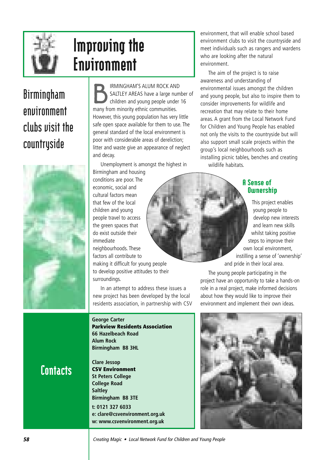

## Improving the Environment

## **Birmingham environment clubs visit the countryside**



**Contacts** 

IRMINGHAM'S ALUM ROCK AND<br>SALTLEY AREAS have a large numbe<br>children and young people under 16 SALTLEY AREAS have a large number of many from minority ethnic communities. However, this young population has very little safe open space available for them to use. The general standard of the local environment is poor with considerable areas of dereliction; litter and waste give an appearance of neglect and decay.

Unemployment is amongst the highest in

Birmingham and housing conditions are poor. The economic, social and cultural factors mean that few of the local children and young people travel to access the green spaces that do exist outside their immediate

neighbourhoods. These factors all contribute to making it difficult for young people to develop positive attitudes to their surroundings.

In an attempt to address these issues a new project has been developed by the local residents association, in partnership with CSV

**George Carter Parkview Residents Association 66 Hazelbeach Road Alum Rock Birmingham B8 3HL**

**Clare Jessop CSV Environment St Peters College College Road Saltley Birmingham B8 3TE** 

**t: 0121 327 6033 e: clare@csvenvironment.org.uk w: www.csvenvironment.org.uk**

environment, that will enable school based environment clubs to visit the countryside and meet individuals such as rangers and wardens who are looking after the natural environment.

The aim of the project is to raise awareness and understanding of environmental issues amongst the children and young people, but also to inspire them to consider improvements for wildlife and recreation that may relate to their home areas. A grant from the Local Network Fund for Children and Young People has enabled not only the visits to the countryside but will also support small scale projects within the group's local neighbourhoods such as installing picnic tables, benches and creating wildlife habitats.

#### A Sense of **Ownership**

This project enables young people to develop new interests and learn new skills whilst taking positive steps to improve their own local environment, instilling a sense of 'ownership' and pride in their local area.

The young people participating in the project have an opportunity to take a hands-on role in a real project, make informed decisions about how they would like to improve their environment and implement their own ideas.



**58** Creating Magic • Local Network Fund for Children and Young People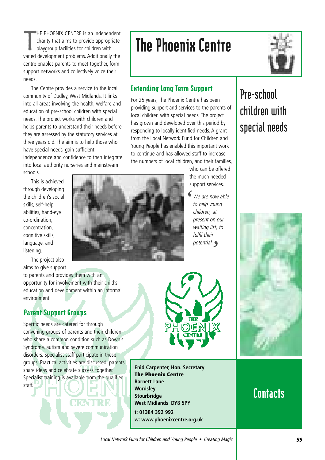T HE PHOENIX CENTRE is an independent charity that aims to provide appropriate playgroup facilities for children with varied development problems. Additionally the centre enables parents to meet together, form support networks and collectively voice their needs.

The Centre provides a service to the local community of Dudley, West Midlands. It links into all areas involving the health, welfare and education of pre-school children with special needs. The project works with children and helps parents to understand their needs before they are assessed by the statutory services at three years old. The aim is to help those who have special needs, gain sufficient independence and confidence to then integrate into local authority nurseries and mainstream schools.

This is achieved through developing the children's social skills, self-help abilities, hand-eye co-ordination, concentration, cognitive skills, language, and listening.

The project also aims to give support

to parents and provides them with an opportunity for involvement with their child's education and development within an informal environment.

### Parent Support Groups

Specific needs are catered for through convening groups of parents and their children who share a common condition such as Down's Syndrome, autism and severe communication disorders. Specialist staff participate in these groups. Practical activities are discussed; parents share ideas and celebrate success together. Specialist training is available from the qualified staff.

N DANIM 14 D

has grown and developed over this period by responding to locally identified needs. A grant from the Local Network Fund for Children and

Extending Long Term Support

For 25 years, The Phoenix Centre has been providing support and services to the parents of local children with special needs. The project

The Phoenix Centre

Young People has enabled this important work to continue and has allowed staff to increase the numbers of local children, and their families,

who can be offered the much needed support services.

We are now able to help young children, at present on our waiting list, to fulfil their potential. *'*

**Pre-school children with special needs**





**w: www.phoenixcentre.org.uk**

**Enid Carpenter, Hon. Secretary**

**The Phoenix Centre**

**West Midlands DY8 5PY**

**t: 01384 392 992**

**Barnett Lane Wordsley Stourbridge**



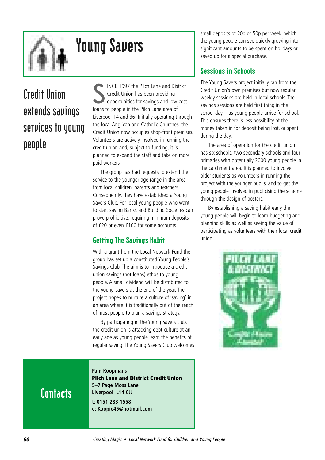

## Young Savers

## **Credit Union extends savings services to young people**

S INCE 1997 the Pilch Lane and District Credit Union has been providing opportunities for savings and low-cost loans to people in the Pilch Lane area of Liverpool 14 and 36. Initially operating through the local Anglican and Catholic Churches, the Credit Union now occupies shop-front premises. Volunteers are actively involved in running the credit union and, subject to funding, it is planned to expand the staff and take on more paid workers.

The group has had requests to extend their service to the younger age range in the area from local children, parents and teachers. Consequently, they have established a Young Savers Club. For local young people who want to start saving Banks and Building Societies can prove prohibitive, requiring minimum deposits of £20 or even £100 for some accounts.

### Getting The Savings Habit

With a grant from the Local Network Fund the group has set up a constituted Young People's Savings Club. The aim is to introduce a credit union savings (not loans) ethos to young people. A small dividend will be distributed to the young savers at the end of the year. The project hopes to nurture a culture of 'saving' in an area where it is traditionally out of the reach of most people to plan a savings strategy.

By participating in the Young Savers club, the credit union is attacking debt culture at an early age as young people learn the benefits of regular saving. The Young Savers Club welcomes

**Contacts** 

**Pam Koopmans Pilch Lane and District Credit Union 5–7 Page Moss Lane Liverpool L14 0JJ t: 0151 283 1558 e: Koopie45@hotmail.com**

small deposits of 20p or 50p per week, which the young people can see quickly growing into significant amounts to be spent on holidays or saved up for a special purchase.

### Sessions in Schools

The Young Savers project initially ran from the Credit Union's own premises but now regular weekly sessions are held in local schools. The savings sessions are held first thing in the school day – as young people arrive for school. This ensures there is less possibility of the money taken in for deposit being lost, or spent during the day.

The area of operation for the credit union has six schools, two secondary schools and four primaries with potentially 2000 young people in the catchment area. It is planned to involve older students as volunteers in running the project with the younger pupils, and to get the young people involved in publicising the scheme through the design of posters.

By establishing a saving habit early the young people will begin to learn budgeting and planning skills as well as seeing the value of participating as volunteers with their local credit union.

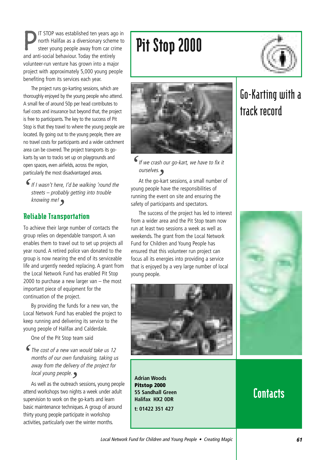P IT STOP was established ten years ago in north Halifax as a diversionary scheme to steer young people away from car crime and anti-social behaviour. Today the entirely volunteer-run venture has grown into a major project with approximately 5,000 young people benefiting from its services each year.

The project runs go-karting sessions, which are thoroughly enjoyed by the young people who attend. A small fee of around 50p per head contributes to fuel costs and insurance but beyond that, the project is free to participants. The key to the success of Pit Stop is that they travel to where the young people are located. By going out to the young people, there are no travel costs for participants and a wider catchment area can be covered. The project transports its gokarts by van to tracks set up on playgrounds and open spaces, even airfields, across the region, particularly the most disadvantaged areas.

If I wasn't here, I'd be walking 'round the streets – probably getting into trouble knowing me! *'* ر/<br>ns

### Reliable Transportation

To achieve their large number of contacts the group relies on dependable transport. A van enables them to travel out to set up projects all year round. A retired police van donated to the group is now nearing the end of its serviceable life and urgently needed replacing. A grant from the Local Network Fund has enabled Pit Stop 2000 to purchase a new larger van – the most important piece of equipment for the continuation of the project.

By providing the funds for a new van, the Local Network Fund has enabled the project to keep running and delivering its service to the young people of Halifax and Calderdale.

One of the Pit Stop team said

The cost of a new van would take us 12 months of our own fundraising, taking us away from the delivery of the project for local young people. *'*

*local young people.***<br>As well as the outreach sessions, young people<br>advantable as the ministry cause was been solable** attend workshops two nights a week under adult supervision to work on the go-karts and learn basic maintenance techniques. A group of around thirty young people participate in workshop activities, particularly over the winter months.

## Pit Stop 2000



If we crash our go-kart, we have to fix it ourselves. *'*

ourselves.<br>At the go-kart sessions, a small number of<br>na nearle have the responsibilities of young people have the responsibilities of running the event on site and ensuring the safety of participants and spectators.

The success of the project has led to interest from a wider area and the Pit Stop team now run at least two sessions a week as well as weekends. The grant from the Local Network Fund for Children and Young People has ensured that this volunteer run project can focus all its energies into providing a service that is enjoyed by a very large number of local young people.



**Adrian Woods Pitstop 2000 55 Sandhall Green Halifax HX2 0DR t: 01422 351 427**

## **Go-Karting with a track record**

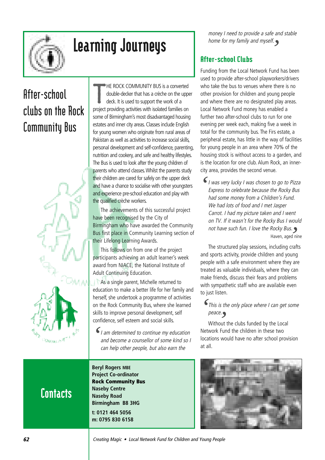

## Learning Journeys

## **After-school clubs on the Rock Community Bus**



T HE ROCK COMMUNITY BUS is a converted double-decker that has a crèche on the upper deck. It is used to support the work of a project providing activities with isolated families on some of Birmingham's most disadvantaged housing estates and inner city areas. Classes include English for young women who originate from rural areas of Pakistan as well as activities to increase social skills, personal development and self-confidence, parenting, nutrition and cookery, and safe and healthy lifestyles. The Bus is used to look after the young children of parents who attend classes.Whilst the parents study their children are cared for safely on the upper deck and have a chance to socialise with other youngsters and experience pre-school education and play with the qualified crèche workers.

The achievements of this successful project have been recognised by the City of Birmingham who have awarded the Community Bus first place in Community Learning section of their Lifelong Learning Awards.

This follows on from one of the project participants achieving an adult learner's week award from NIACE, the National Institute of Adult Continuing Education.

As a single parent, Michelle returned to education to make a better life for her family and herself, she undertook a programme of activities on the Rock Community Bus, where she learned skills to improve personal development, self confidence, self esteem and social skills.

I am determined to continue my education and become a counsellor of some kind so I can help other people, but also earn the *'*

### **Contacts**

**Beryl Rogers MBE Project Co-ordinator Rock Community Bus Naseby Centre Naseby Road Birmingham B8 3HG t: 0121 464 5056 m: 0795 830 6158**

money I need to provide a safe and stable home for my family and myself. *'*

### After-school Clubs

Funding from the Local Network Fund has been used to provide after-school playworkers/drivers who take the bus to venues where there is no other provision for children and young people and where there are no designated play areas. Local Network Fund money has enabled a further two after-school clubs to run for one evening per week each, making five a week in total for the community bus. The Firs estate, a peripheral estate, has little in the way of facilities for young people in an area where 70% of the housing stock is without access to a garden, and is the location for one club. Alum Rock, an innercity area, provides the second venue.

I was very lucky I was chosen to go to Pizza Express to celebrate because the Rocky Bus had some money from a Children's Fund. We had lots of food and I met Jasper Carrot. I had my picture taken and I went on TV. If it wasn't for the Rocky Bus I would not have such fun. I love the Rocky Bus. Haven, aged nine و.<br>الله *'*

The structured play sessions, including crafts and sports activity, provide children and young people with a safe environment where they are treated as valuable individuals, where they can make friends, discuss their fears and problems with sympathetic staff who are available even to just listen.

This is the only place where I can get some *'*

peace. *'* Without the clubs funded by the Local Network Fund the children in these two locations would have no after school provision at all.

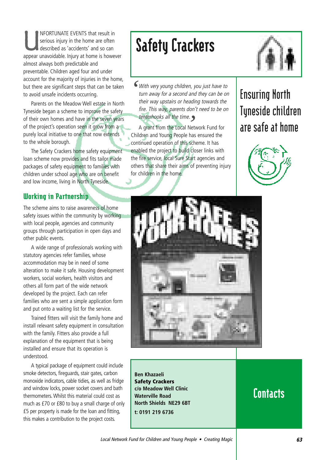NFORTUNATE EVENTS that result in<br>serious injury in the home are often<br>described as 'accidents' and so can serious injury in the home are often described as 'accidents' and so can appear unavoidable. Injury at home is however almost always both predictable and preventable. Children aged four and under account for the majority of injuries in the home, but there are significant steps that can be taken to avoid unsafe incidents occurring.

Parents on the Meadow Well estate in North Tyneside began a scheme to improve the safety of their own homes and have in the seven years of the project's operation seen it grow from a purely local initiative to one that now extends to the whole borough.

The Safety Crackers home safety equipment loan scheme now provides and fits tailor made packages of safety equipment to families with children under school age who are on benefit and low income, living in North Tyneside.

#### Working in Partnership

The scheme aims to raise awareness of home safety issues within the community by working with local people, agencies and community groups through participation in open days and other public events.

A wide range of professionals working with statutory agencies refer families, whose accommodation may be in need of some alteration to make it safe. Housing development workers, social workers, health visitors and others all form part of the wide network developed by the project. Each can refer families who are sent a simple application form and put onto a waiting list for the service.

Trained fitters will visit the family home and install relevant safety equipment in consultation with the family. Fitters also provide a full explanation of the equipment that is being installed and ensure that its operation is understood.

A typical package of equipment could include smoke detectors, fireguards, stair gates, carbon monoxide indicators, cable tidies, as well as fridge and window locks, power socket covers and bath thermometers. Whilst this material could cost as much as £70 or £80 to buy a small charge of only £5 per property is made for the loan and fitting, this makes a contribution to the project costs.

## Safety Crackers



With very young children, you just have to turn away for a second and they can be on their way upstairs or heading towards the fire. This way, parents don't need to be on tenterhooks all the time. *'*

A grant from the Local Network Fund for *'*Children and Young People has ensured the continued operation of this scheme. It has enabled the project to build closer links with the fire service, local Sure Start agencies and others that share their aims of preventing injury for children in the home.

## **Ensuring North Tyneside children are safe at home**





**Ben Khazaeli Safety Crackers c/o Meadow Well Clinic Waterville Road North Shields NE29 6BT t: 0191 219 6736**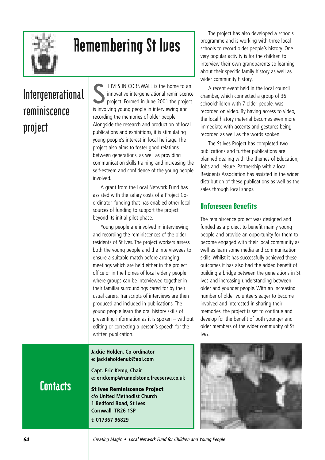

## Remembering St Ives

## **Intergenerational reminiscence project**

S T IVES IN CORNWALL is the home to an innovative intergenerational reminiscence project. Formed in June 2001 the project is involving young people in interviewing and recording the memories of older people. Alongside the research and production of local publications and exhibitions, it is stimulating young people's interest in local heritage. The project also aims to foster good relations between generations, as well as providing communication skills training and increasing the self-esteem and confidence of the young people involved.

A grant from the Local Network Fund has assisted with the salary costs of a Project Coordinator, funding that has enabled other local sources of funding to support the project beyond its initial pilot phase.

Young people are involved in interviewing and recording the reminiscences of the older residents of St Ives. The project workers assess both the young people and the interviewees to ensure a suitable match before arranging meetings which are held either in the project office or in the homes of local elderly people where groups can be interviewed together in their familiar surroundings cared for by their usual carers. Transcripts of interviews are then produced and included in publications. The young people learn the oral history skills of presenting information as it is spoken – without editing or correcting a person's speech for the written publication.

**Jackie Holden, Co-ordinator e: jackieholdenuk@aol.com** 

**Capt. Eric Kemp, Chair e: erickemp@runnelstone.freeserve.co.uk**

**St Ives Reminiscence Project c/o United Methodist Church 1 Bedford Road, St Ives Cornwall TR26 1SP t: 017367 96829**

The project has also developed a schools programme and is working with three local schools to record older people's history. One very popular activity is for the children to interview their own grandparents so learning about their specific family history as well as wider community history.

A recent event held in the local council chamber, which connected a group of 36 schoolchildren with 7 older people, was recorded on video. By having access to video, the local history material becomes even more immediate with accents and gestures being recorded as well as the words spoken.

The St Ives Project has completed two publications and further publications are planned dealing with the themes of Education, Jobs and Leisure. Partnership with a local Residents Association has assisted in the wider distribution of these publications as well as the sales through local shops.

### Unforeseen Benefits

The reminiscence project was designed and funded as a project to benefit mainly young people and provide an opportunity for them to become engaged with their local community as well as learn some media and communication skills. Whilst it has successfully achieved these outcomes it has also had the added benefit of building a bridge between the generations in St Ives and increasing understanding between older and younger people. With an increasing number of older volunteers eager to become involved and interested in sharing their memories, the project is set to continue and develop for the benefit of both younger and older members of the wider community of St Ives.

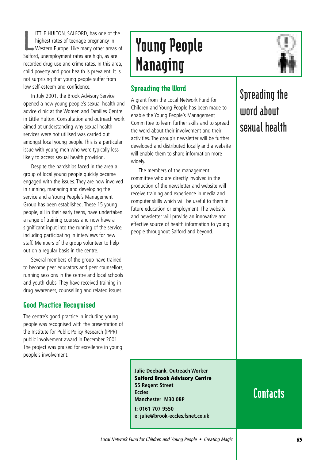L ITTLE HULTON, SALFORD, has one of the highest rates of teenage pregnancy in Western Europe. Like many other areas of Salford, unemployment rates are high, as are recorded drug use and crime rates. In this area, child poverty and poor health is prevalent. It is not surprising that young people suffer from low self-esteem and confidence.

In July 2001, the Brook Advisory Service opened a new young people's sexual health and advice clinic at the Women and Families Centre in Little Hulton. Consultation and outreach work aimed at understanding why sexual health services were not utilised was carried out amongst local young people. This is a particular issue with young men who were typically less likely to access sexual health provision.

Despite the hardships faced in the area a group of local young people quickly became engaged with the issues. They are now involved in running, managing and developing the service and a Young People's Management Group has been established. These 15 young people, all in their early teens, have undertaken a range of training courses and now have a significant input into the running of the service, including participating in interviews for new staff. Members of the group volunteer to help out on a regular basis in the centre.

Several members of the group have trained to become peer educators and peer counsellors, running sessions in the centre and local schools and youth clubs. They have received training in drug awareness, counselling and related issues.

#### Good Practice Recognised

The centre's good practice in including young people was recognised with the presentation of the Institute for Public Policy Research (IPPR) public involvement award in December 2001. The project was praised for excellence in young people's involvement.

# Young People Managing

### Spreading the Word

A grant from the Local Network Fund for Children and Young People has been made to enable the Young People's Management Committee to learn further skills and to spread the word about their involvement and their activities. The group's newsletter will be further developed and distributed locally and a website will enable them to share information more widely.

The members of the management committee who are directly involved in the production of the newsletter and website will receive training and experience in media and computer skills which will be useful to them in future education or employment. The website and newsletter will provide an innovative and effective source of health information to young people throughout Salford and beyond.

### **Spreading the word about sexual health**

**Julie Deebank, Outreach Worker Salford Brook Advisory Centre 55 Regent Street Eccles Manchester M30 0BP t: 0161 707 9550 e: julie@brook-eccles.fsnet.co.uk**

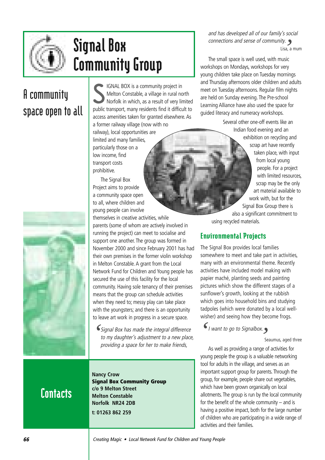

## Signal Box Community Group

## **A community space open to all**



S IGNAL BOX is a community project in Melton Constable, a village in rural north Norfolk in which, as a result of very limited public transport, many residents find it difficult to access amenities taken for granted elsewhere. As a former railway village (now with no

railway), local opportunities are limited and many families, particularly those on a low income, find transport costs prohibitive.

The Signal Box Project aims to provide a community space open to all, where children and young people can involve

themselves in creative activities, while parents (some of whom are actively involved in running the project) can meet to socialise and support one another. The group was formed in November 2000 and since February 2001 has had their own premises in the former violin workshop in Melton Constable. A grant from the Local Network Fund for Children and Young people has secured the use of this facility for the local community. Having sole tenancy of their premises means that the group can schedule activities when they need to; messy play can take place with the youngsters; and there is an opportunity to leave art work in progress in a secure space.

Signal Box has made the integral difference *'* to my daughter's adjustment to a new place, providing a space for her to make friends,

## **Contacts**

**Nancy Crow Signal Box Community Group c/o 9 Melton Street Melton Constable Norfolk NR24 2DB t: 01263 862 259**

and has developed all of our family's social connections and sense of community. *'* Lisa, a mum

The small space is well used, with music workshops on Mondays, workshops for very young children take place on Tuesday mornings and Thursday afternoons older children and adults meet on Tuesday afternoons. Regular film nights are held on Sunday evening. The Pre-school Learning Alliance have also used the space for guided literacy and numeracy workshops.

> Several other one-off events like an Indian food evening and an exhibition on recycling and scrap art have recently taken place, with input from local young people. For a project with limited resources, scrap may be the only art material available to work with, but for the Signal Box Group there is also a significant commitment to using recycled materials.

### Environmental Projects

The Signal Box provides local families somewhere to meet and take part in activities, many with an environmental theme. Recently activities have included model making with papier maché, planting seeds and painting pictures which show the different stages of a sunflower's growth, looking at the rubbish which goes into household bins and studying tadpoles (which were donated by a local wellwisher) and seeing how they become frogs.

I want to go to Signalbox.  $\bigcup_{i=1}^{\infty} I_i$  *want to go to Signalbox.* 

Seaumus, aged three

As well as providing a range of activities for young people the group is a valuable networking tool for adults in the village, and serves as an important support group for parents. Through the group, for example, people share out vegetables, which have been grown organically on local allotments. The group is run by the local community for the benefit of the whole community  $-$  and is having a positive impact, both for the large number of children who are participating in a wide range of activities and their families.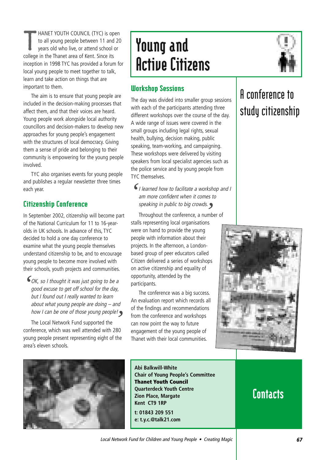T HANET YOUTH COUNCIL (TYC) is open to all young people between 11 and 20 years old who live, or attend school or college in the Thanet area of Kent. Since its inception in 1998 TYC has provided a forum for local young people to meet together to talk, learn and take action on things that are important to them.

The aim is to ensure that young people are included in the decision-making processes that affect them, and that their voices are heard. Young people work alongside local authority councillors and decision-makers to develop new approaches for young people's engagement with the structures of local democracy. Giving them a sense of pride and belonging to their community is empowering for the young people involved.

TYC also organises events for young people and publishes a regular newsletter three times each year.

#### Citizenship Conference

In September 2002, citizenship will become part of the National Curriculum for 11 to 16-yearolds in UK schools. In advance of this, TYC decided to hold a one day conference to examine what the young people themselves understand citizenship to be, and to encourage young people to become more involved with their schools, youth projects and communities.

OK, so I thought it was just going to be a good excuse to get off school for the day, but I found out I really wanted to learn about what young people are doing – and *'*

how I can be one of those young people! *'* The Local Network Fund supported the conference, which was well attended with 280 young people present representing eight of the area's eleven schools.

## Young and Active Citizens

#### Workshop Sessions

The day was divided into smaller group sessions with each of the participants attending three different workshops over the course of the day. A wide range of issues were covered in the small groups including legal rights, sexual health, bullying, decision making, public speaking, team-working, and campaigning. These workshops were delivered by visiting speakers from local specialist agencies such as the police service and by young people from TYC themselves.

 $\bigcup_{n=1}^{\infty} I$  learned how to facilitate a workshop and I am more confident when it comes to speaking in public to big crowds.

s*peaking in public to big crowds.*<br>Throughout the conference, a number of<br>' stalls representing local organisations were on hand to provide the young people with information about their projects. In the afternoon, a Londonbased group of peer educators called Citizen delivered a series of workshops on active citizenship and equality of opportunity, attended by the participants.

The conference was a big success. An evaluation report which records all of the findings and recommendations from the conference and workshops can now point the way to future engagement of the young people of Thanet with their local communities.



## **A conference to study citizenship**





**Abi Balkwill-White Chair of Young People's Committee Thanet Youth Council Quarterdeck Youth Centre Zion Place, Margate Kent CT9 1RP t: 01843 209 551 e: t.y.c.@talk21.com**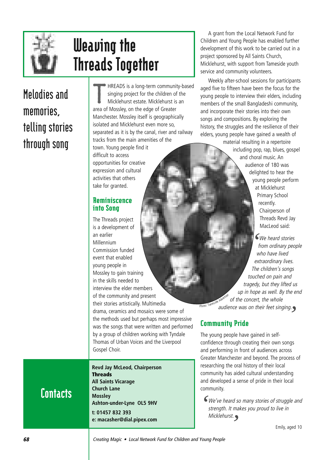

## Weaving the Threads Together

## **Melodies and memories, telling stories through song**

T HREADS is a long-term community-based singing project for the children of the Micklehurst estate. Micklehurst is an area of Mossley, on the edge of Greater Manchester. Mossley itself is geographically isolated and Micklehurst even more so, separated as it is by the canal, river and railway tracks from the main amenities of the town. Young people find it difficult to access opportunities for creative expression and cultural

#### Reminiscence into Song

activities that others take for granted.

The Threads project is a development of an earlier Millennium Commission funded event that enabled young people in Mossley to gain training in the skills needed to interview the elder members of the community and present their stories artistically. Multimedia drama, ceramics and mosaics were some of the methods used but perhaps most impressive was the songs that were written and performed by a group of children working with Tyndale Thomas of Urban Voices and the Liverpool Gospel Choir.

**Contacts** 

**Revd Jay McLeod, Chairperson Threads All Saints Vicarage Church Lane Mossley Ashton-under-Lyne OL5 9HV t: 01457 832 393 e: macasher@dial.pipex.com**

A grant from the Local Network Fund for Children and Young People has enabled further development of this work to be carried out in a project sponsored by All Saints Church, Micklehurst, with support from Tameside youth service and community volunteers.

Weekly after-school sessions for participants aged five to fifteen have been the focus for the young people to interview their elders, including members of the small Bangladeshi community, and incorporate their stories into their own songs and compositions. By exploring the history, the struggles and the resilience of their elders, young people have gained a wealth of

material resulting in a repertoire including pop, rap, blues, gospel and choral music. An audience of 180 was delighted to hear the young people perform at Micklehurst Primary School recently. Chairperson of Threads Revd Jay MacLeod said:

We heard stories *'* from ordinary people who have lived extraordinary lives. The children's songs touched on pain and tragedy, but they lifted us up in hope as well. By the end of the concert, the whole audience was on their feet singing. *'* Photo: Tameside Advertiser

### Community Pride

The young people have gained in selfconfidence through creating their own songs and performing in front of audiences across Greater Manchester and beyond. The process of researching the oral history of their local community has aided cultural understanding and developed a sense of pride in their local community.

We've heard so many stories of struggle and *'* strength. It makes you proud to live in Micklehurst. *'*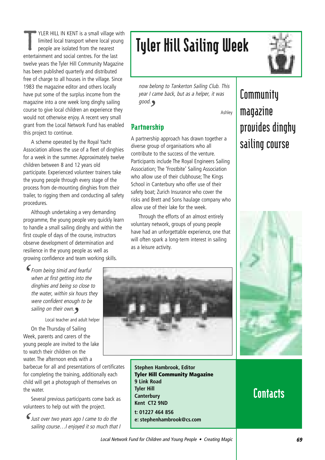T YLER HILL IN KENT is a small village with limited local transport where local young people are isolated from the nearest entertainment and social centres. For the last twelve years the Tyler Hill Community Magazine has been published quarterly and distributed free of charge to all houses in the village. Since 1983 the magazine editor and others locally have put some of the surplus income from the magazine into a one week long dinghy sailing course to give local children an experience they would not otherwise enjoy. A recent very small grant from the Local Network Fund has enabled this project to continue.

A scheme operated by the Royal Yacht Association allows the use of a fleet of dinghies for a week in the summer. Approximately twelve children between 8 and 12 years old participate. Experienced volunteer trainers take the young people through every stage of the process from de-mounting dinghies from their trailer, to rigging them and conducting all safety procedures.

Although undertaking a very demanding programme, the young people very quickly learn to handle a small sailing dinghy and within the first couple of days of the course, instructors observe development of determination and resilience in the young people as well as growing confidence and team working skills.

From being timid and fearful when at first getting into the dinghies and being so close to the water, within six hours they were confident enough to be sailing on their own. *'*

on *their own.*<br>Local teacher and adult helper

On the Thursday of Sailing Week, parents and carers of the young people are invited to the lake to watch their children on the water. The afternoon ends with a

barbecue for all and presentations of certificates for completing the training, additionally each child will get a photograph of themselves on the water.

Several previous participants come back as volunteers to help out with the project.

Just over two years ago I came to do the sailing course... I enjoyed it so much that I *'*

## Tyler Hill Sailing Week

now belong to Tankerton Sailing Club. This year I came back, but as a helper, it was good. *'*

Ashley

### Partnership

A partnership approach has drawn together a diverse group of organisations who all contribute to the success of the venture. Participants include The Royal Engineers Sailing Association; The 'Frostbite' Sailing Association who allow use of their clubhouse: The Kings School in Canterbury who offer use of their safety boat; Zurich Insurance who cover the risks and Brett and Sons haulage company who allow use of their lake for the week.

Through the efforts of an almost entirely voluntary network, groups of young people have had an unforgettable experience, one that will often spark a long-term interest in sailing as a leisure activity.



**Stephen Hambrook, Editor Tyler Hill Community Magazine 9 Link Road Tyler Hill Canterbury Kent CT2 9ND t: 01227 464 856**

**e: stephenhambrook@cs.com**



## **Community magazine provides dinghy sailing course**

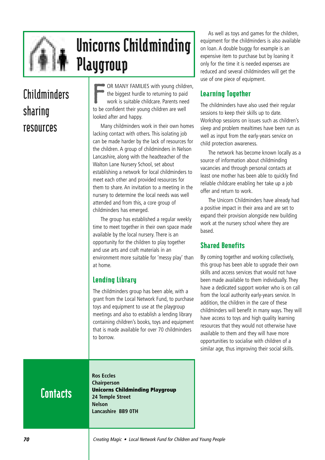

## Unicorns Childminding Playgroup

## **Childminders sharing resources**

F OR MANY FAMILIES with young children, the biggest hurdle to returning to paid work is suitable childcare. Parents need to be confident their young children are well looked after and happy.

Many childminders work in their own homes lacking contact with others. This isolating job can be made harder by the lack of resources for the children. A group of childminders in Nelson Lancashire, along with the headteacher of the Walton Lane Nursery School, set about establishing a network for local childminders to meet each other and provided resources for them to share. An invitation to a meeting in the nursery to determine the local needs was well attended and from this, a core group of childminders has emerged.

The group has established a regular weekly time to meet together in their own space made available by the local nursery. There is an opportunity for the children to play together and use arts and craft materials in an environment more suitable for 'messy play' than at home.

### Lending Library

The childminders group has been able, with a grant from the Local Network Fund, to purchase toys and equipment to use at the playgroup meetings and also to establish a lending library containing children's books, toys and equipment that is made available for over 70 childminders to borrow.

As well as toys and games for the children, equipment for the childminders is also available on loan. A double buggy for example is an expensive item to purchase but by loaning it only for the time it is needed expenses are reduced and several childminders will get the use of one piece of equipment.

### Learning Together

The childminders have also used their regular sessions to keep their skills up to date. Workshop sessions on issues such as children's sleep and problem mealtimes have been run as well as input from the early-years service on child protection awareness.

The network has become known locally as a source of information about childminding vacancies and through personal contacts at least one mother has been able to quickly find reliable childcare enabling her take up a job offer and return to work.

The Unicorn Childminders have already had a positive impact in their area and are set to expand their provision alongside new building work at the nursery school where they are based.

### Shared Benefits

By coming together and working collectively, this group has been able to upgrade their own skills and access services that would not have been made available to them individually. They have a dedicated support worker who is on call from the local authority early-years service. In addition, the children in the care of these childminders will benefit in many ways. They will have access to toys and high quality learning resources that they would not otherwise have available to them and they will have more opportunities to socialise with children of a similar age, thus improving their social skills.

## **Contacts**

**Ros Eccles Chairperson Unicorns Childminding Playgroup 24 Temple Street Nelson Lancashire BB9 0TH**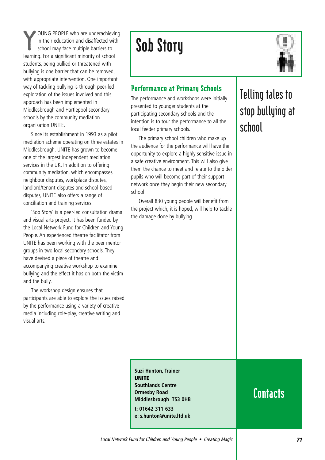Y OUNG PEOPLE who are underachieving in their education and disaffected with school may face multiple barriers to learning. For a significant minority of school students, being bullied or threatened with bullying is one barrier that can be removed, with appropriate intervention. One important way of tackling bullying is through peer-led exploration of the issues involved and this approach has been implemented in Middlesbrough and Hartlepool secondary schools by the community mediation organisation UNITE.

Since its establishment in 1993 as a pilot mediation scheme operating on three estates in Middlesbrough, UNITE has grown to become one of the largest independent mediation services in the UK. In addition to offering community mediation, which encompasses neighbour disputes, workplace disputes, landlord/tenant disputes and school-based disputes, UNITE also offers a range of conciliation and training services.

'Sob Story' is a peer-led consultation drama and visual arts project. It has been funded by the Local Network Fund for Children and Young People. An experienced theatre facilitator from UNITE has been working with the peer mentor groups in two local secondary schools. They have devised a piece of theatre and accompanying creative workshop to examine bullying and the effect it has on both the victim and the bully.

The workshop design ensures that participants are able to explore the issues raised by the performance using a variety of creative media including role-play, creative writing and visual arts.

## Sob Story



#### Performance at Primary Schools

The performance and workshops were initially presented to younger students at the participating secondary schools and the intention is to tour the performance to all the local feeder primary schools.

The primary school children who make up the audience for the performance will have the opportunity to explore a highly sensitive issue in a safe creative environment. This will also give them the chance to meet and relate to the older pupils who will become part of their support network once they begin their new secondary school.

Overall 830 young people will benefit from the project which, it is hoped, will help to tackle the damage done by bullying.

## **Telling tales to stop bullying at school**

**Suzi Hunton, Trainer UNITE Southlands Centre Ormesby Road Middlesbrough TS3 0HB t: 01642 311 633 e: s.hunton@unite.ltd.uk**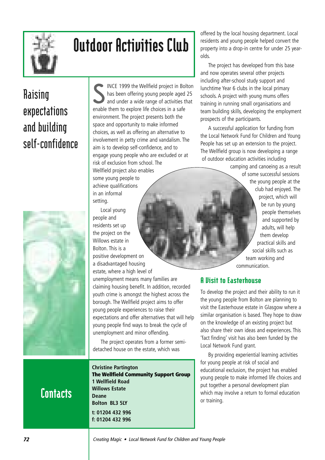

# Outdoor Activities Club

## **Raising expectations and building self-confidence**



S INCE 1999 the Wellfield project in Bolton has been offering young people aged 25 and under a wide range of activities that enable them to explore life choices in a safe environment. The project presents both the space and opportunity to make informed choices, as well as offering an alternative to involvement in petty crime and vandalism. The aim is to develop self-confidence, and to engage young people who are excluded or at risk of exclusion from school. The Wellfield project also enables

some young people to achieve qualifications in an informal setting.

Local young people and residents set up the project on the Willows estate in Bolton. This is a positive development on a disadvantaged housing estate, where a high level of

unemployment means many families are claiming housing benefit. In addition, recorded youth crime is amongst the highest across the borough. The Wellfield project aims to offer young people experiences to raise their expectations and offer alternatives that will help young people find ways to break the cycle of unemployment and minor offending.

The project operates from a former semidetached house on the estate, which was

**Contacts** 

**Christine Partington The Wellfield Community Support Group 1 Wellfield Road Willows Estate Deane Bolton BL3 5LY t: 01204 432 996 f: 01204 432 996**

offered by the local housing department. Local residents and young people helped convert the property into a drop-in centre for under 25 yearolds.

The project has developed from this base and now operates several other projects including after-school study support and lunchtime Year 6 clubs in the local primary schools. A project with young mums offers training in running small organisations and team building skills, developing the employment prospects of the participants.

A successful application for funding from the Local Network Fund for Children and Young People has set up an extension to the project. The Wellfield group is now developing a range of outdoor education activities including

> camping and canoeing as a result of some successful sessions the young people at the club had enjoyed. The project, which will be run by young people themselves and supported by adults, will help them develop practical skills and social skills such as team working and communication.

### **A Visit to Easterhouse**

To develop the project and their ability to run it the young people from Bolton are planning to visit the Easterhouse estate in Glasgow where a similar organisation is based. They hope to draw on the knowledge of an existing project but also share their own ideas and experiences. This 'fact finding' visit has also been funded by the Local Network Fund grant.

By providing experiential learning activities for young people at risk of social and educational exclusion, the project has enabled young people to make informed life choices and put together a personal development plan which may involve a return to formal education or training.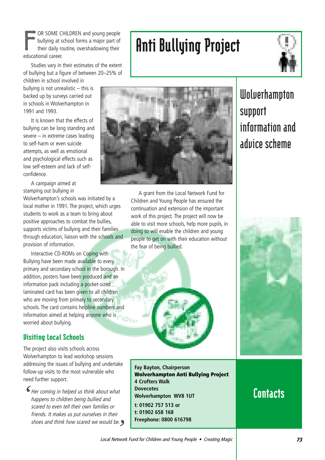F OR SOME CHILDREN and young people bullying at school forms a major part of their daily routine, overshadowing their educational career.

Studies vary in their estimates of the extent of bullying but a figure of between 20–25% of children in school involved in

bullying is not unrealistic – this is backed up by surveys carried out in schools in Wolverhampton in 1991 and 1993.

It is known that the effects of bullying can be long standing and severe – in extreme cases leading to self-harm or even suicide attempts, as well as emotional and psychological effects such as low self-esteem and lack of selfconfidence.

A campaign aimed at stamping out bullying in

Wolverhampton's schools was initiated by a local mother in 1991. The project, which urges students to work as a team to bring about positive approaches to combat the bullies, supports victims of bullying and their families through education, liaison with the schools and provision of information.

Interactive CD-ROMs on Coping with Bullying have been made available to every primary and secondary school in the borough. In addition, posters have been produced and an information pack including a pocket-sized laminated card has been given to all children who are moving from primary to secondary schools. The card contains helpline numbers and information aimed at helping anyone who is worried about bullying.

#### Visiting Local Schools

The project also visits schools across Wolverhampton to lead workshop sessions addressing the issues of bullying and undertake follow-up visits to the most vulnerable who need further support.

Her coming in helped us think about what happens to children being bullied and scared to even tell their own families or friends. It makes us put ourselves in their shoes and think how scared we would be. *''*

Anti Bullying Project



A grant from the Local Network Fund for Children and Young People has ensured the continuation and extension of the important work of this project. The project will now be able to visit more schools, help more pupils, in doing so will enable the children and young people to get on with their education without the fear of being bullied.





**Fay Bayton, Chairperson Wolverhampton Anti Bullying Project 4 Crofters Walk Dovecotes Wolverhampton WV8 1UT t: 01902 757 513 or t: 01902 658 168 Freephone: 0800 616798**

### **Contacts**

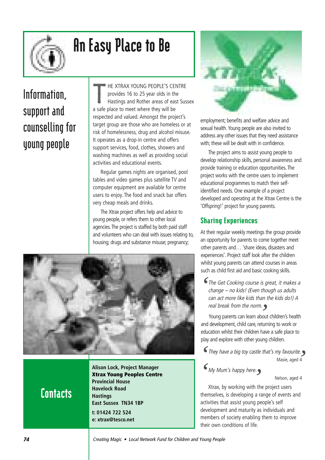

# An Easy Place to Be

## **Information, support and counselling for young people**

T HE XTRAX YOUNG PEOPLE'S CENTRE provides 16 to 25 year olds in the Hastings and Rother areas of east Sussex a safe place to meet where they will be respected and valued. Amongst the project's target group are those who are homeless or at risk of homelessness, drug and alcohol misuse. It operates as a drop-in centre and offers support services, food, clothes, showers and washing machines as well as providing social activities and educational events.

Regular games nights are organised, pool tables and video games plus satellite TV and computer equipment are available for centre users to enjoy. The food and snack bar offers very cheap meals and drinks.

The Xtrax project offers help and advice to young people, or refers them to other local agencies.The project is staffed by both paid staff and volunteers who can deal with issues relating to, housing; drugs and substance misuse; pregnancy;



**Contacts** 

**Alison Lock, Project Manager Xtrax Young Peoples Centre Provincial House Havelock Road Hastings East Sussex TN34 1BP t: 01424 722 524 e: xtrax@tesco.net**



employment; benefits and welfare advice and sexual health.Young people are also invited to address any other issues that they need assistance with; these will be dealt with in confidence.

The project aims to assist young people to develop relationship skills, personal awareness and provide training or education opportunities. The project works with the centre users to implement educational programmes to match their selfidentified needs. One example of a project developed and operating at the Xtrax Centre is the 'Offspring!' project for young parents.

#### Sharing Experiences

At their regular weekly meetings the group provide an opportunity for parents to come together meet other parents and… 'share ideas, disasters and experiences'. Project staff look after the children whilst young parents can attend courses in areas such as child first aid and basic cooking skills.

The Get Cooking course is great, it makes a *'* change – no kids! (Even though us adults can act more like kids than the kids do!) A real break from the norm.

r*eal break from the norm.*<br>Young parents can learn about children's health and development, child care, returning to work or education whilst their children have a safe place to play and explore with other young children.

They have a big toy castle that's my favourite. *' '* Masie, aged 4

My Mum's happy here. *<i>My Mum's happy here.*<br>*Ytrax* by working with the

Nelson, aged 4

Xtrax, by working with the project users themselves, is developing a range of events and activities that assist young people's self development and maturity as individuals and members of society enabling them to improve their own conditions of life.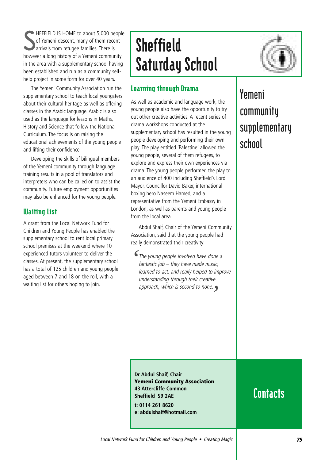S HEFFIELD IS HOME to about 5,000 people of Yemeni descent, many of them recent **A** arrivals from refugee families. There is however a long history of a Yemeni community in the area with a supplementary school having been established and run as a community selfhelp project in some form for over 40 years.

The Yemeni Community Association run the supplementary school to teach local youngsters about their cultural heritage as well as offering classes in the Arabic language. Arabic is also used as the language for lessons in Maths, History and Science that follow the National Curriculum. The focus is on raising the educational achievements of the young people and lifting their confidence.

Developing the skills of bilingual members of the Yemeni community through language training results in a pool of translators and interpreters who can be called on to assist the community. Future employment opportunities may also be enhanced for the young people.

#### Waiting List

A grant from the Local Network Fund for Children and Young People has enabled the supplementary school to rent local primary school premises at the weekend where 10 experienced tutors volunteer to deliver the classes. At present, the supplementary school has a total of 125 children and young people aged between 7 and 18 on the roll, with a waiting list for others hoping to join.

# **Sheffield** Saturday School



#### Learning through Drama

As well as academic and language work, the young people also have the opportunity to try out other creative activities. A recent series of drama workshops conducted at the supplementary school has resulted in the young people developing and performing their own play. The play entitled 'Palestine' allowed the young people, several of them refugees, to explore and express their own experiences via drama. The young people performed the play to an audience of 400 including Sheffield's Lord Mayor, Councillor David Baker, international boxing hero Naseem Hamed, and a representative from the Yemeni Embassy in London, as well as parents and young people from the local area.

Abdul Shaif, Chair of the Yemeni Community Association, said that the young people had really demonstrated their creativity:

The young people involved have done a fantastic job – they have made music, learned to act, and really helped to improve understanding through their creative approach, which is second to none. *''*

### **Yemeni community supplementary school**

**Dr Abdul Shaif, Chair Yemeni Community Association 43 Attercliffe Common Sheffield S9 2AE**

**t: 0114 261 8620 e: abdulshaif@hotmail.com**

### **Contacts**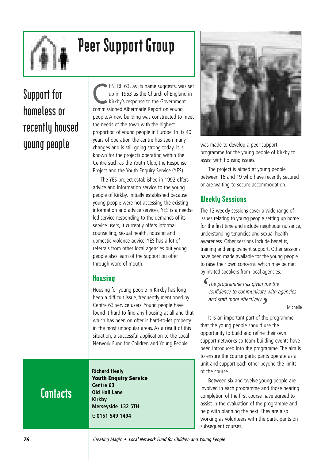

## Peer Support Group

## **Support for homeless or recently housed young people**

ENTRE 63, as its name suggests, was set up in 1963 as the Church of England in Kirkby's response to the Government commissioned Albermarle Report on young people. A new building was constructed to meet the needs of the town with the highest proportion of young people in Europe. In its 40 years of operation the centre has seen many changes and is still going strong today, it is known for the projects operating within the Centre such as the Youth Club, the Response Project and the Youth Enquiry Service (YES).

The YES project established in 1992 offers advice and information service to the young people of Kirkby. Initially established because young people were not accessing the existing information and advice services, YES is a needsled service responding to the demands of its service users, it currently offers informal counselling, sexual health, housing and domestic violence advice. YES has a lot of referrals from other local agencies but young people also learn of the support on offer through word of mouth.

#### Housing

Housing for young people in Kirkby has long been a difficult issue, frequently mentioned by Centre 63 service users. Young people have found it hard to find any housing at all and that which has been on offer is hard-to-let property in the most unpopular areas. As a result of this situation, a successful application to the Local Network Fund for Children and Young People

## **Contacts**

**Richard Healy Youth Enquiry Service Centre 63 Old Hall Lane Kirkby Merseyside L32 5TH t: 0151 549 1494**



was made to develop a peer support programme for the young people of Kirkby to assist with housing issues.

The project is aimed at young people between 16 and 19 who have recently secured or are waiting to secure accommodation.

#### Weekly Sessions

The 12 weekly sessions cover a wide range of issues relating to young people setting up home for the first time and include neighbour nuisance, understanding tenancies and sexual health awareness. Other sessions include benefits, training and employment support. Other sessions have been made available for the young people to raise their own concerns, which may be met by invited speakers from local agencies.

The programme has given me the confidence to communicate with agencies and staff more effectively. *''*

Michelle

It is an important part of the programme that the young people should use the opportunity to build and refine their own support networks so team-building events have been introduced into the programme. The aim is to ensure the course participants operate as a unit and support each other beyond the limits of the course.

Between six and twelve young people are involved in each programme and those nearing completion of the first course have agreed to assist in the evaluation of the programme and help with planning the next. They are also working as volunteers with the participants on subsequent courses.

**76** Creating Magic • Local Network Fund for Children and Young People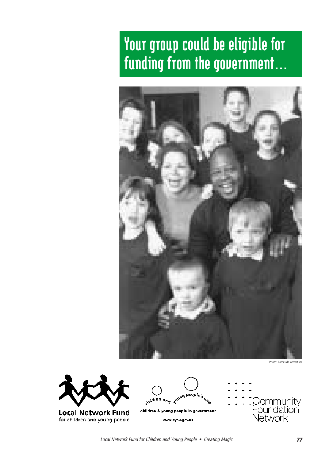## Your group could be eligible for funding from the government…



swidten and towns beable's unit Community<br>Foundation<br>Network children & young people in government **Local Network Fund** for children and young people www.cypu.gov.uk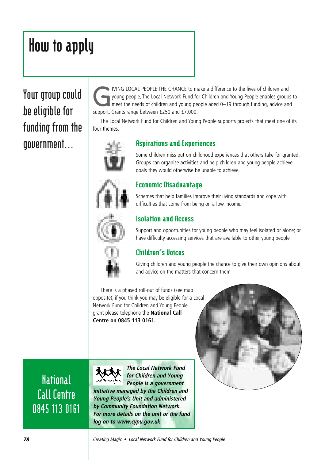# How to apply

### **Your group could be eligible for funding from the government…**

IVING LOCAL PEOPLE THE CHANCE to make a difference to the lives of children and<br>young people, The Local Network Fund for Children and Young People enables groups<br>meet the needs of children and young people aged 0–19 throug young people, The Local Network Fund for Children and Young People enables groups to support. Grants range between £250 and £7,000.

The Local Network Fund for Children and Young People supports projects that meet one of its four themes.



#### Aspirations and Experiences

Some children miss out on childhood experiences that others take for granted. Groups can organise activities and help children and young people achieve goals they would otherwise be unable to achieve.

#### Economic Disadvantage

Schemes that help families improve their living standards and cope with difficulties that come from being on a low income.

#### Isolation and Access

Support and opportunities for young people who may feel isolated or alone; or have difficulty accessing services that are available to other young people.



#### Children's Voices

Giving children and young people the chance to give their own opinions about and advice on the matters that concern them

There is a phased roll-out of funds (see map opposite); if you think you may be eligible for a Local Network Fund for Children and Young People grant please telephone the **National Call Centre on 0845 113 0161.**



**The Local Network Fund for Children and Young People is a government initiative managed by the Children and Young People's Unit and administered by Community Foundation Network. For more details on the unit or the fund log on to www.cypu.gov.uk** 



**78 Creating Magic • Local Network Fund for Children and Young People** 

**National** 

**Call Centre**

**0845 113 0161**